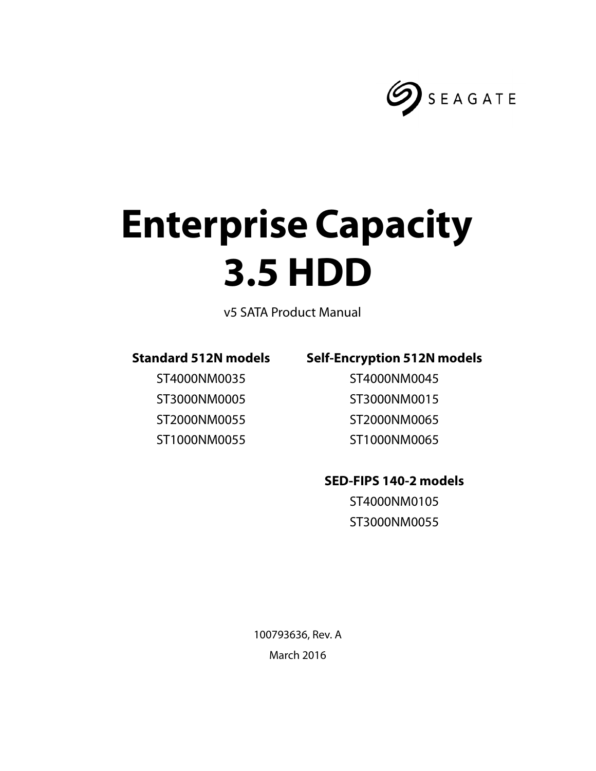

# **Enterprise Capacity 3.5 HDD**

v5 SATA Product Manual

## **Standard 512N models**

ST4000NM0035 ST3000NM0005 ST2000NM0055 ST1000NM0055

## **Self-Encryption 512N models**

ST4000NM0045 ST3000NM0015 ST2000NM0065 ST1000NM0065

## **SED-FIPS 140-2 models**

ST4000NM0105 ST3000NM0055

100793636, Rev. A March 2016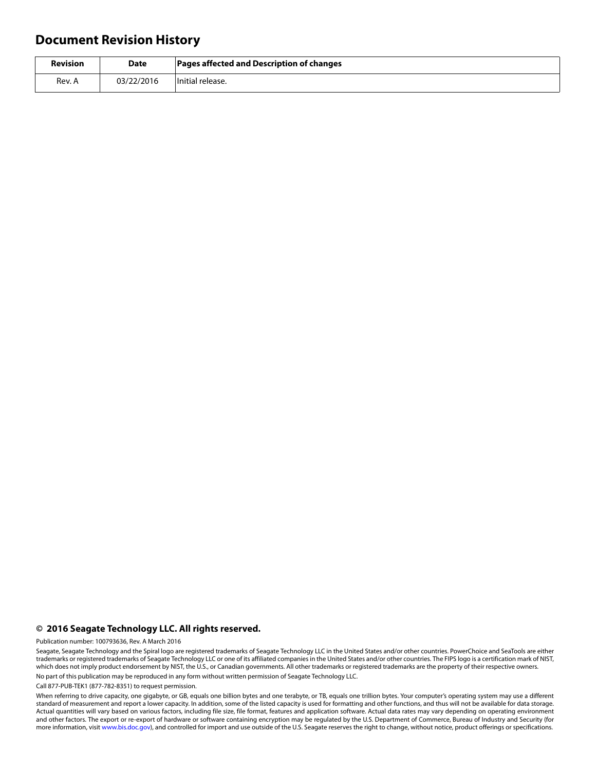## **Document Revision History**

| <b>Revision</b> | <b>Date</b> | <b>Pages affected and Description of changes</b> |
|-----------------|-------------|--------------------------------------------------|
| Rev. A          | 03/22/2016  | Initial release.                                 |

#### **© 2016 Seagate Technology LLC. All rights reserved.**

Publication number: 100793636, Rev. A March 2016

Seagate, Seagate Technology and the Spiral logo are registered trademarks of Seagate Technology LLC in the United States and/or other countries. PowerChoice and SeaTools are either trademarks or registered trademarks of Seagate Technology LLC or one of its affiliated companies in the United States and/or other countries. The FIPS logo is a certification mark of NIST, which does not imply product endorsement by NIST, the U.S., or Canadian governments. All other trademarks or registered trademarks are the property of their respective owners. No part of this publication may be reproduced in any form without written permission of Seagate Technology LLC.

Call 877-PUB-TEK1 (877-782-8351) to request permission.

When referring to drive capacity, one gigabyte, or GB, equals one billion bytes and one terabyte, or TB, equals one trillion bytes. Your computer's operating system may use a different standard of measurement and report a lower capacity. In addition, some of the listed capacity is used for formatting and other functions, and thus will not be available for data storage. Actual quantities will vary based on various factors, including file size, file format, features and application software. Actual data rates may vary depending on operating environment and other factors. The export or re-export of hardware or software containing encryption may be regulated by the U.S. Department of Commerce, Bureau of Industry and Security (for more information, visit [www.bis.doc.gov](http://www.bis.doc.gov)), and controlled for import and use outside of the U.S. Seagate reserves the right to change, without notice, product offerings or specifications.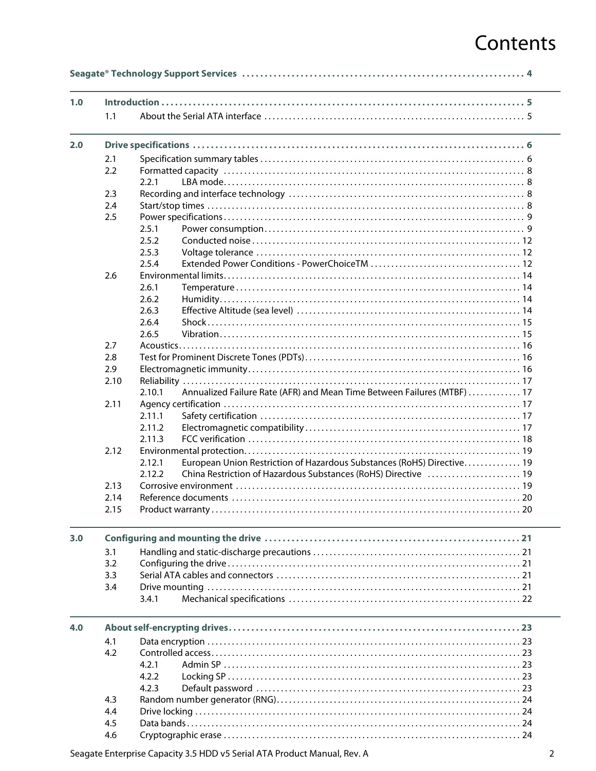# Contents

| 1.0 |      |                                                                                   |
|-----|------|-----------------------------------------------------------------------------------|
|     | 1.1  |                                                                                   |
| 2.0 |      |                                                                                   |
|     | 2.1  |                                                                                   |
|     | 2.2  |                                                                                   |
|     |      | 2.2.1                                                                             |
|     | 2.3  |                                                                                   |
|     | 2.4  |                                                                                   |
|     | 2.5  |                                                                                   |
|     |      | 2.5.1                                                                             |
|     |      | 2.5.2                                                                             |
|     |      | 2.5.3                                                                             |
|     |      | 2.5.4                                                                             |
|     | 2.6  |                                                                                   |
|     |      | 2.6.1                                                                             |
|     |      | 2.6.2                                                                             |
|     |      | 2.6.3                                                                             |
|     |      | 2.6.4                                                                             |
|     |      | 2.6.5                                                                             |
|     | 2.7  |                                                                                   |
|     | 2.8  |                                                                                   |
|     | 2.9  |                                                                                   |
|     | 2.10 |                                                                                   |
|     |      | Annualized Failure Rate (AFR) and Mean Time Between Failures (MTBF)  17<br>2.10.1 |
|     | 2.11 |                                                                                   |
|     |      | 2.11.1                                                                            |
|     |      | 2.11.2                                                                            |
|     |      | 2.11.3                                                                            |
|     | 2.12 |                                                                                   |
|     |      | European Union Restriction of Hazardous Substances (RoHS) Directive 19<br>2.12.1  |
|     |      | 2.12.2<br>China Restriction of Hazardous Substances (RoHS) Directive  19          |
|     | 2.13 |                                                                                   |
|     | 2.14 |                                                                                   |
|     | 2.15 |                                                                                   |
| 3.0 |      |                                                                                   |
|     | 3.1  |                                                                                   |
|     | 3.2  |                                                                                   |
|     | 3.3  |                                                                                   |
|     | 3.4  |                                                                                   |
|     |      | 3.4.1                                                                             |
| 4.0 |      |                                                                                   |
|     | 4.1  |                                                                                   |
|     | 4.2  |                                                                                   |
|     |      | 4.2.1                                                                             |
|     |      | 4.2.2                                                                             |
|     |      | 4.2.3                                                                             |
|     | 4.3  |                                                                                   |
|     | 4.4  |                                                                                   |
|     | 4.5  |                                                                                   |
|     | 4.6  |                                                                                   |
|     |      |                                                                                   |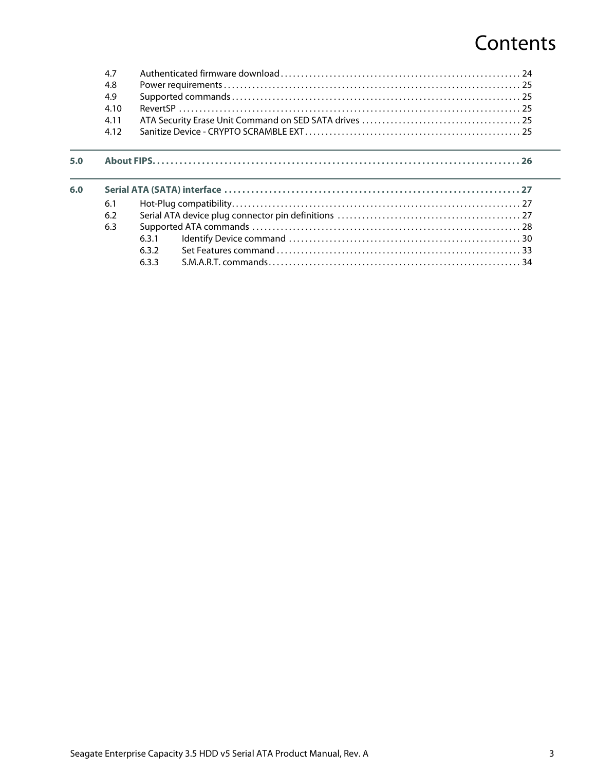# **Contents**

|     | 4.7  |       |  |
|-----|------|-------|--|
|     | 4.8  |       |  |
|     | 4.9  |       |  |
|     | 4.10 |       |  |
|     | 4.11 |       |  |
|     | 4.12 |       |  |
|     |      |       |  |
| 5.0 |      |       |  |
| 6.0 |      |       |  |
|     | 6.1  |       |  |
|     | 6.2  |       |  |
|     | 6.3  |       |  |
|     |      | 6.3.1 |  |
|     |      | 6.3.2 |  |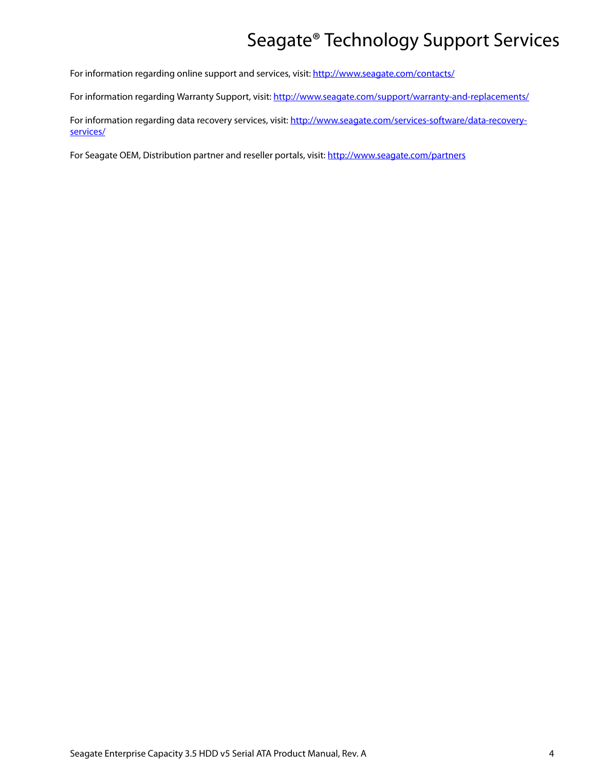# Seagate® Technology Support Services

<span id="page-4-0"></span>For information regarding online support and services, visit: [http://www.seagate.com/contacts/](http://www.seagate.com/about/contact-us/technical-support/)

For information regarding Warranty Support, visit:<http://www.seagate.com/support/warranty-and-replacements/>

For information regarding data recovery services, visit: [http://www.seagate.com/services-software/data-recovery](http://www.seagate.com/services-software/data-recovery-services/)[services/](http://www.seagate.com/services-software/data-recovery-services/)

For Seagate OEM, Distribution partner and reseller portals, visit: <http://www.seagate.com/partners>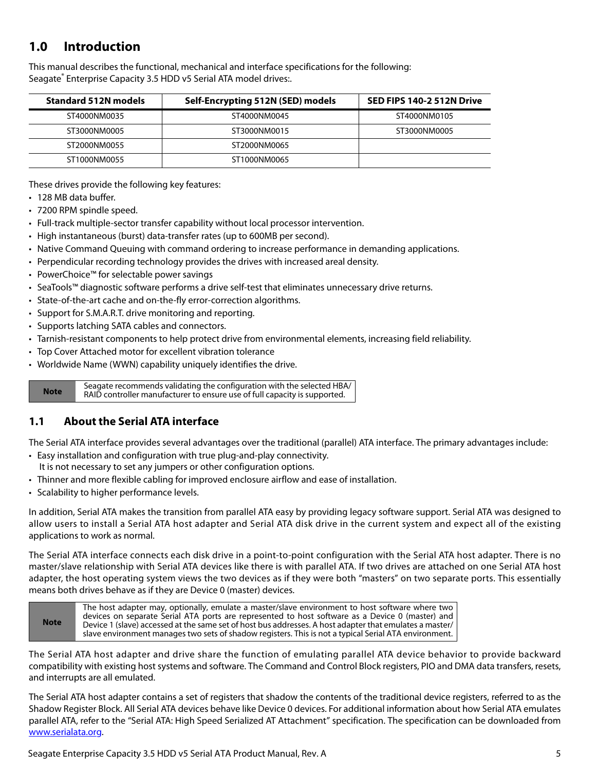## <span id="page-5-0"></span>**1.0 Introduction**

This manual describes the functional, mechanical and interface specifications for the following: Seagate® Enterprise Capacity 3.5 HDD v5 Serial ATA model drives:.

| <b>Standard 512N models</b> | Self-Encrypting 512N (SED) models | SED FIPS 140-2 512N Drive |  |
|-----------------------------|-----------------------------------|---------------------------|--|
| ST4000NM0035                | ST4000NM0045                      | ST4000NM0105              |  |
| ST3000NM0005                | ST3000NM0015                      | ST3000NM0005              |  |
| ST2000NM0055                | ST2000NM0065                      |                           |  |
| ST1000NM0055                | ST1000NM0065                      |                           |  |

These drives provide the following key features:

- 128 MB data buffer.
- 7200 RPM spindle speed.
- Full-track multiple-sector transfer capability without local processor intervention.
- High instantaneous (burst) data-transfer rates (up to 600MB per second).
- Native Command Queuing with command ordering to increase performance in demanding applications.
- Perpendicular recording technology provides the drives with increased areal density.
- PowerChoice™ for selectable power savings
- SeaTools™ diagnostic software performs a drive self-test that eliminates unnecessary drive returns.
- State-of-the-art cache and on-the-fly error-correction algorithms.
- Support for S.M.A.R.T. drive monitoring and reporting.
- Supports latching SATA cables and connectors.
- Tarnish-resistant components to help protect drive from environmental elements, increasing field reliability.
- Top Cover Attached motor for excellent vibration tolerance
- Worldwide Name (WWN) capability uniquely identifies the drive.

**Note** Seagate recommends validating the configuration with the selected HBA/ RAID controller manufacturer to ensure use of full capacity is supported.

## <span id="page-5-1"></span>**1.1 About the Serial ATA interface**

The Serial ATA interface provides several advantages over the traditional (parallel) ATA interface. The primary advantages include:

- Easy installation and configuration with true plug-and-play connectivity. It is not necessary to set any jumpers or other configuration options.
- Thinner and more flexible cabling for improved enclosure airflow and ease of installation.
- Scalability to higher performance levels.

In addition, Serial ATA makes the transition from parallel ATA easy by providing legacy software support. Serial ATA was designed to allow users to install a Serial ATA host adapter and Serial ATA disk drive in the current system and expect all of the existing applications to work as normal.

The Serial ATA interface connects each disk drive in a point-to-point configuration with the Serial ATA host adapter. There is no master/slave relationship with Serial ATA devices like there is with parallel ATA. If two drives are attached on one Serial ATA host adapter, the host operating system views the two devices as if they were both "masters" on two separate ports. This essentially means both drives behave as if they are Device 0 (master) devices.



The Serial ATA host adapter and drive share the function of emulating parallel ATA device behavior to provide backward compatibility with existing host systems and software. The Command and Control Block registers, PIO and DMA data transfers, resets, and interrupts are all emulated.

The Serial ATA host adapter contains a set of registers that shadow the contents of the traditional device registers, referred to as the Shadow Register Block. All Serial ATA devices behave like Device 0 devices. For additional information about how Serial ATA emulates parallel ATA, refer to the "Serial ATA: High Speed Serialized AT Attachment" specification. The specification can be downloaded from [www.serialata.or](http://www.serialata.org)g.

Seagate Enterprise Capacity 3.5 HDD v5 Serial ATA Product Manual, Rev. A 5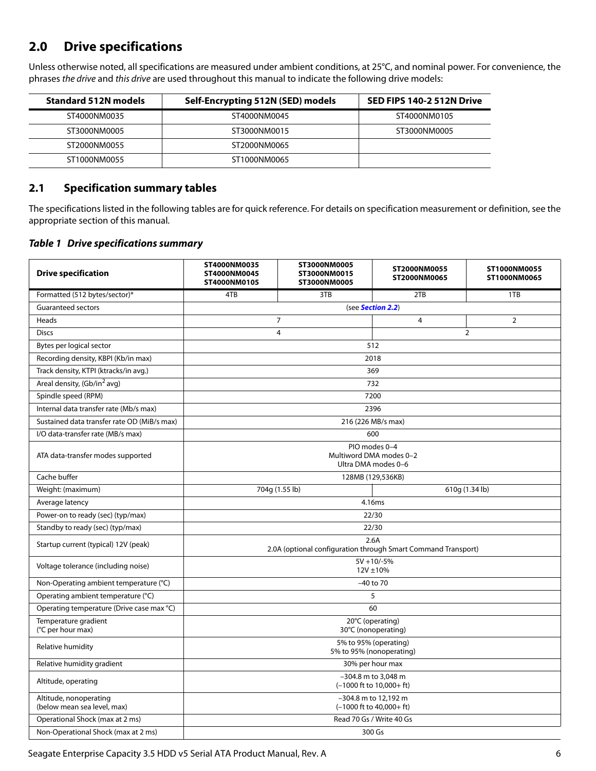## <span id="page-6-0"></span>**2.0 Drive specifications**

Unless otherwise noted, all specifications are measured under ambient conditions, at 25°C, and nominal power. For convenience, the phrases the drive and this drive are used throughout this manual to indicate the following drive models:

| <b>Standard 512N models</b><br>Self-Encrypting 512N (SED) models |              | SED FIPS 140-2 512N Drive |
|------------------------------------------------------------------|--------------|---------------------------|
| ST4000NM0035                                                     | ST4000NM0045 | ST4000NM0105              |
| ST3000NM0005                                                     | ST3000NM0015 | ST3000NM0005              |
| ST2000NM0055                                                     | ST2000NM0065 |                           |
| ST1000NM0055                                                     | ST1000NM0065 |                           |

## <span id="page-6-1"></span>**2.1 Specification summary tables**

The specifications listed in the following tables are for quick reference. For details on specification measurement or definition, see the appropriate section of this manual.

#### *Table 1 Drive specifications summary*

| <b>Drive specification</b>                            | ST4000NM0035<br>ST4000NM0045<br>ST4000NM0105                    | ST3000NM0005<br>ST3000NM0015<br>ST3000NM0005 | ST2000NM0055<br>ST2000NM0065                                          | ST1000NM0055<br>ST1000NM0065 |
|-------------------------------------------------------|-----------------------------------------------------------------|----------------------------------------------|-----------------------------------------------------------------------|------------------------------|
| Formatted (512 bytes/sector)*                         | 4TB                                                             | 3TB                                          | 2TB                                                                   | 1TB                          |
| <b>Guaranteed sectors</b>                             | (see Section 2.2)                                               |                                              |                                                                       |                              |
| Heads                                                 |                                                                 | $\overline{7}$                               | 4                                                                     | $\overline{2}$               |
| <b>Discs</b>                                          |                                                                 | $\overline{4}$                               |                                                                       | $\overline{2}$               |
| Bytes per logical sector                              | 512                                                             |                                              |                                                                       |                              |
| Recording density, KBPI (Kb/in max)                   |                                                                 |                                              | 2018                                                                  |                              |
| Track density, KTPI (ktracks/in avg.)                 |                                                                 |                                              | 369                                                                   |                              |
| Areal density, (Gb/in <sup>2</sup> avg)               |                                                                 |                                              | 732                                                                   |                              |
| Spindle speed (RPM)                                   |                                                                 |                                              | 7200                                                                  |                              |
| Internal data transfer rate (Mb/s max)                |                                                                 |                                              | 2396                                                                  |                              |
| Sustained data transfer rate OD (MiB/s max)           |                                                                 |                                              | 216 (226 MB/s max)                                                    |                              |
| I/O data-transfer rate (MB/s max)                     |                                                                 |                                              | 600                                                                   |                              |
| ATA data-transfer modes supported                     | PIO modes 0-4<br>Multiword DMA modes 0-2<br>Ultra DMA modes 0-6 |                                              |                                                                       |                              |
| Cache buffer                                          |                                                                 |                                              | 128MB (129,536KB)                                                     |                              |
| Weight: (maximum)                                     |                                                                 | 704g (1.55 lb)                               |                                                                       | 610g (1.34 lb)               |
| Average latency                                       |                                                                 |                                              | 4.16ms                                                                |                              |
| Power-on to ready (sec) (typ/max)                     |                                                                 |                                              | 22/30                                                                 |                              |
| Standby to ready (sec) (typ/max)                      |                                                                 |                                              | 22/30                                                                 |                              |
| Startup current (typical) 12V (peak)                  |                                                                 |                                              | 2.6A<br>2.0A (optional configuration through Smart Command Transport) |                              |
| Voltage tolerance (including noise)                   | $5V + 10/-5%$<br>12V ±10%                                       |                                              |                                                                       |                              |
| Non-Operating ambient temperature (°C)                |                                                                 |                                              | $-40$ to 70                                                           |                              |
| Operating ambient temperature (°C)                    |                                                                 |                                              | 5                                                                     |                              |
| Operating temperature (Drive case max °C)             |                                                                 |                                              | 60                                                                    |                              |
| Temperature gradient<br>(°C per hour max)             | 20°C (operating)<br>30°C (nonoperating)                         |                                              |                                                                       |                              |
| Relative humidity                                     | 5% to 95% (operating)<br>5% to 95% (nonoperating)               |                                              |                                                                       |                              |
| Relative humidity gradient                            | 30% per hour max                                                |                                              |                                                                       |                              |
| Altitude, operating                                   | -304.8 m to 3,048 m<br>$(-1000$ ft to $10,000+$ ft)             |                                              |                                                                       |                              |
| Altitude, nonoperating<br>(below mean sea level, max) | -304.8 m to 12,192 m<br>$(-1000$ ft to $40,000+$ ft)            |                                              |                                                                       |                              |
| Operational Shock (max at 2 ms)                       |                                                                 |                                              | Read 70 Gs / Write 40 Gs                                              |                              |
| Non-Operational Shock (max at 2 ms)                   |                                                                 |                                              | 300 Gs                                                                |                              |

Seagate Enterprise Capacity 3.5 HDD v5 Serial ATA Product Manual, Rev. A 6 6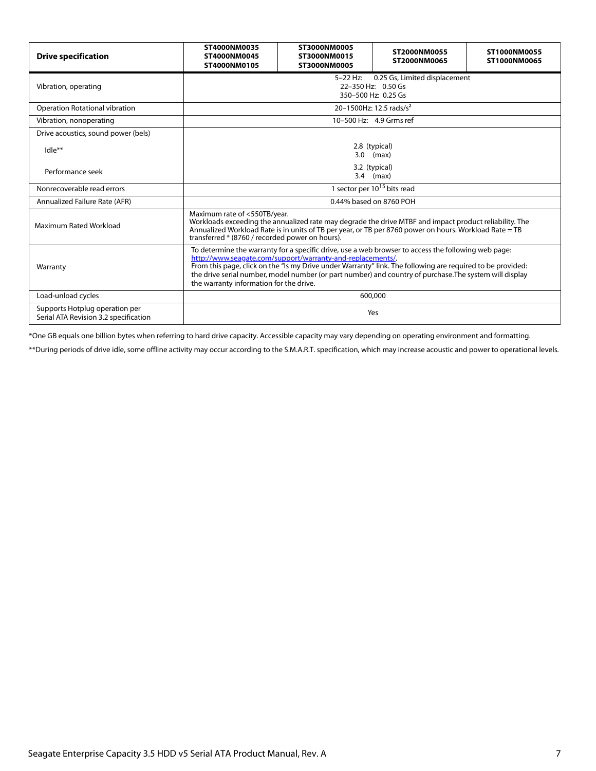| <b>Drive specification</b>                                              | ST4000NM0035<br>ST4000NM0045<br>ST4000NM0105                                                                                                                                                                                                                                                                                                                                                                                          | ST3000NM0005<br>ST3000NM0015<br>ST3000NM0005 | ST2000NM0055<br>ST2000NM0065        | ST1000NM0055<br>ST1000NM0065 |  |
|-------------------------------------------------------------------------|---------------------------------------------------------------------------------------------------------------------------------------------------------------------------------------------------------------------------------------------------------------------------------------------------------------------------------------------------------------------------------------------------------------------------------------|----------------------------------------------|-------------------------------------|------------------------------|--|
| Vibration, operating                                                    | 0.25 Gs, Limited displacement<br>$5 - 22$ Hz:<br>22-350 Hz: 0.50 Gs<br>350-500 Hz: 0.25 Gs                                                                                                                                                                                                                                                                                                                                            |                                              |                                     |                              |  |
| Operation Rotational vibration                                          |                                                                                                                                                                                                                                                                                                                                                                                                                                       |                                              | 20-1500Hz: 12.5 rads/s <sup>2</sup> |                              |  |
| Vibration, nonoperating                                                 |                                                                                                                                                                                                                                                                                                                                                                                                                                       |                                              | 10-500 Hz: 4.9 Grms ref             |                              |  |
| Drive acoustics, sound power (bels)                                     |                                                                                                                                                                                                                                                                                                                                                                                                                                       |                                              |                                     |                              |  |
| $Idle**$                                                                |                                                                                                                                                                                                                                                                                                                                                                                                                                       |                                              | 2.8 (typical)<br>$3.0$ (max)        |                              |  |
| Performance seek                                                        | 3.2 (typical)<br>$3.4$ (max)                                                                                                                                                                                                                                                                                                                                                                                                          |                                              |                                     |                              |  |
| Nonrecoverable read errors                                              | 1 sector per 10 <sup>15</sup> bits read                                                                                                                                                                                                                                                                                                                                                                                               |                                              |                                     |                              |  |
| Annualized Failure Rate (AFR)                                           | 0.44% based on 8760 POH                                                                                                                                                                                                                                                                                                                                                                                                               |                                              |                                     |                              |  |
| Maximum Rated Workload                                                  | Maximum rate of <550TB/year.<br>Workloads exceeding the annualized rate may degrade the drive MTBF and impact product reliability. The<br>Annualized Workload Rate is in units of TB per year, or TB per 8760 power on hours. Workload Rate = TB<br>transferred * (8760 / recorded power on hours).                                                                                                                                   |                                              |                                     |                              |  |
| Warranty                                                                | To determine the warranty for a specific drive, use a web browser to access the following web page:<br>http://www.seagate.com/support/warranty-and-replacements/.<br>From this page, click on the "Is my Drive under Warranty" link. The following are required to be provided:<br>the drive serial number, model number (or part number) and country of purchase. The system will display<br>the warranty information for the drive. |                                              |                                     |                              |  |
| Load-unload cycles                                                      | 600,000                                                                                                                                                                                                                                                                                                                                                                                                                               |                                              |                                     |                              |  |
| Supports Hotplug operation per<br>Serial ATA Revision 3.2 specification | Yes                                                                                                                                                                                                                                                                                                                                                                                                                                   |                                              |                                     |                              |  |

\*One GB equals one billion bytes when referring to hard drive capacity. Accessible capacity may vary depending on operating environment and formatting.

\*\*During periods of drive idle, some offline activity may occur according to the S.M.A.R.T. specification, which may increase acoustic and power to operational levels.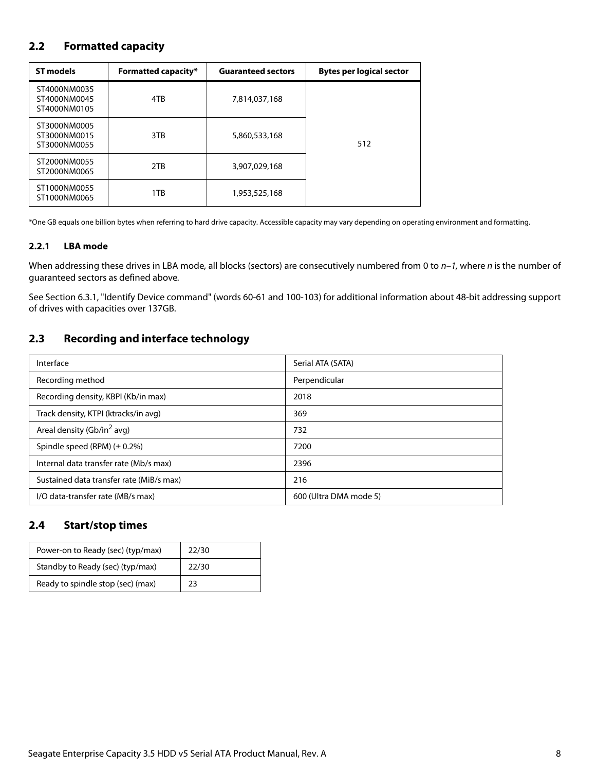## <span id="page-8-0"></span>**2.2 Formatted capacity**

| <b>ST models</b>                             | <b>Formatted capacity*</b> | <b>Guaranteed sectors</b> | <b>Bytes per logical sector</b> |
|----------------------------------------------|----------------------------|---------------------------|---------------------------------|
| ST4000NM0035<br>ST4000NM0045<br>ST4000NM0105 | 4TB                        | 7,814,037,168             |                                 |
| ST3000NM0005<br>ST3000NM0015<br>ST3000NM0055 | 3TB                        | 5,860,533,168             | 512                             |
| ST2000NM0055<br>ST2000NM0065                 | 2TB                        | 3,907,029,168             |                                 |
| ST1000NM0055<br>ST1000NM0065                 | 1TB                        | 1,953,525,168             |                                 |

\*One GB equals one billion bytes when referring to hard drive capacity. Accessible capacity may vary depending on operating environment and formatting.

#### <span id="page-8-1"></span>**2.2.1 LBA mode**

When addressing these drives in LBA mode, all blocks (sectors) are consecutively numbered from 0 to  $n-1$ , where n is the number of guaranteed sectors as defined above.

See [Section 6.3.1, "Identify Device command"](#page-30-0) (words 60-61 and 100-103) for additional information about 48-bit addressing support of drives with capacities over 137GB.

## <span id="page-8-2"></span>**2.3 Recording and interface technology**

| Interface                                | Serial ATA (SATA)      |  |
|------------------------------------------|------------------------|--|
| Recording method                         | Perpendicular          |  |
| Recording density, KBPI (Kb/in max)      | 2018                   |  |
| Track density, KTPI (ktracks/in avg)     | 369                    |  |
| Areal density (Gb/in <sup>2</sup> avg)   | 732                    |  |
| Spindle speed (RPM) $(\pm 0.2\%)$        | 7200                   |  |
| Internal data transfer rate (Mb/s max)   | 2396                   |  |
| Sustained data transfer rate (MiB/s max) | 216                    |  |
| I/O data-transfer rate (MB/s max)        | 600 (Ultra DMA mode 5) |  |

## <span id="page-8-3"></span>**2.4 Start/stop times**

| Power-on to Ready (sec) (typ/max) | 22/30 |
|-----------------------------------|-------|
| Standby to Ready (sec) (typ/max)  | 22/30 |
| Ready to spindle stop (sec) (max) | 23    |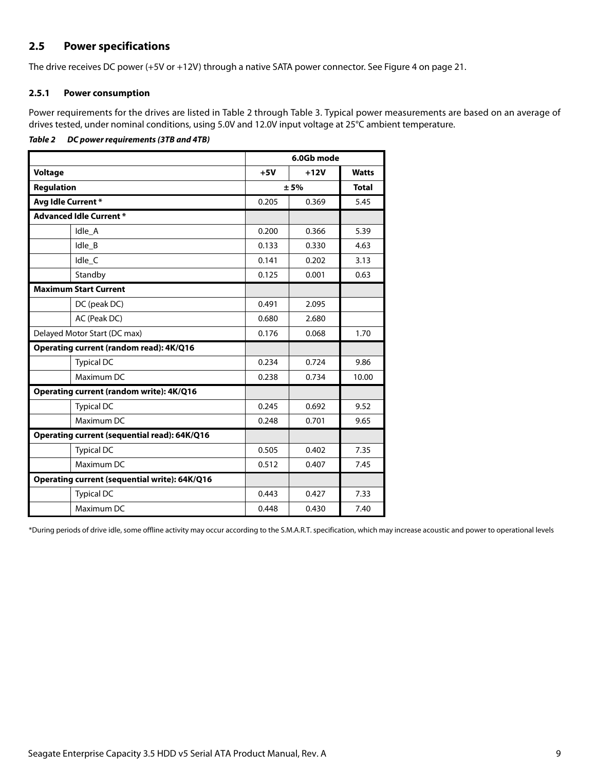## <span id="page-9-0"></span>**2.5 Power specifications**

The drive receives DC power (+5V or +12V) through a native SATA power connector. See Figure [4](#page-21-5) on [page 21](#page-21-5).

#### <span id="page-9-1"></span>**2.5.1 Power consumption**

Power requirements for the drives are listed in Table 2 through Table 3. Typical power measurements are based on an average of drives tested, under nominal conditions, using 5.0V and 12.0V input voltage at 25°C ambient temperature.

#### *Table 2 DC power requirements (3TB and 4TB)*

|                                               | 6.0Gb mode |        |              |
|-----------------------------------------------|------------|--------|--------------|
| <b>Voltage</b>                                | $+5V$      | $+12V$ | <b>Watts</b> |
| <b>Regulation</b>                             | ± 5%       |        | <b>Total</b> |
| Avg Idle Current*                             | 0.205      | 0.369  | 5.45         |
| <b>Advanced Idle Current *</b>                |            |        |              |
| Idle A                                        | 0.200      | 0.366  | 5.39         |
| Idle_B                                        | 0.133      | 0.330  | 4.63         |
| Idle_C                                        | 0.141      | 0.202  | 3.13         |
| Standby                                       | 0.125      | 0.001  | 0.63         |
| <b>Maximum Start Current</b>                  |            |        |              |
| DC (peak DC)                                  | 0.491      | 2.095  |              |
| AC (Peak DC)                                  | 0.680      | 2.680  |              |
| Delayed Motor Start (DC max)                  | 0.176      | 0.068  | 1.70         |
| Operating current (random read): 4K/Q16       |            |        |              |
| <b>Typical DC</b>                             | 0.234      | 0.724  | 9.86         |
| Maximum DC                                    | 0.238      | 0.734  | 10.00        |
| Operating current (random write): 4K/Q16      |            |        |              |
| <b>Typical DC</b>                             | 0.245      | 0.692  | 9.52         |
| Maximum DC                                    | 0.248      | 0.701  | 9.65         |
| Operating current (sequential read): 64K/Q16  |            |        |              |
| <b>Typical DC</b>                             | 0.505      | 0.402  | 7.35         |
| Maximum DC                                    | 0.512      | 0.407  | 7.45         |
| Operating current (sequential write): 64K/Q16 |            |        |              |
| <b>Typical DC</b>                             | 0.443      | 0.427  | 7.33         |
| Maximum DC                                    | 0.448      | 0.430  | 7.40         |

\*During periods of drive idle, some offline activity may occur according to the S.M.A.R.T. specification, which may increase acoustic and power to operational levels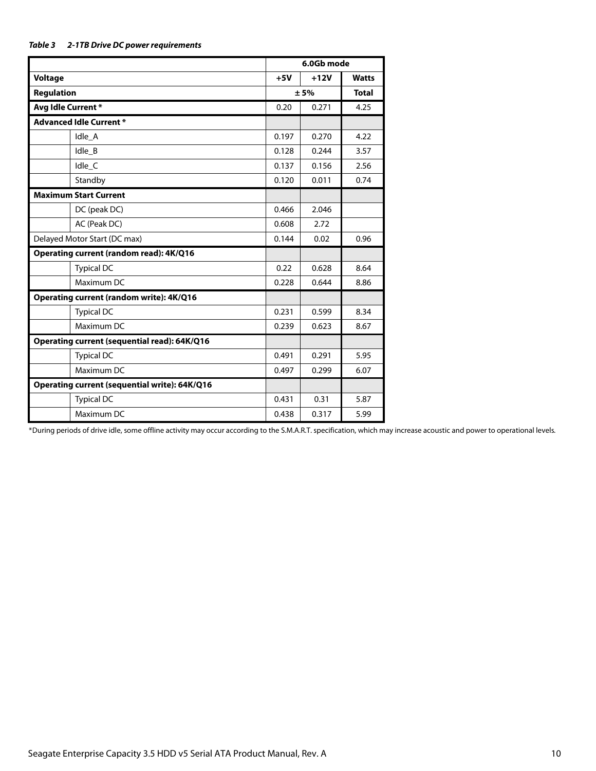|                                               |                      | 6.0Gb mode |              |
|-----------------------------------------------|----------------------|------------|--------------|
| Voltage                                       | $+5V$                | $+12V$     | <b>Watts</b> |
| <b>Regulation</b>                             | ± 5%<br><b>Total</b> |            |              |
| Avg Idle Current*                             | 0.20                 | 0.271      | 4.25         |
| <b>Advanced Idle Current *</b>                |                      |            |              |
| Idle_A                                        | 0.197                | 0.270      | 4.22         |
| Idle B                                        | 0.128                | 0.244      | 3.57         |
| Idle C                                        | 0.137                | 0.156      | 2.56         |
| Standby                                       | 0.120                | 0.011      | 0.74         |
| <b>Maximum Start Current</b>                  |                      |            |              |
| DC (peak DC)                                  | 0.466                | 2.046      |              |
| AC (Peak DC)                                  | 0.608                | 2.72       |              |
| Delayed Motor Start (DC max)                  | 0.144                | 0.02       | 0.96         |
| Operating current (random read): 4K/Q16       |                      |            |              |
| <b>Typical DC</b>                             | 0.22                 | 0.628      | 8.64         |
| Maximum DC                                    | 0.228                | 0.644      | 8.86         |
| Operating current (random write): 4K/Q16      |                      |            |              |
| <b>Typical DC</b>                             | 0.231                | 0.599      | 8.34         |
| Maximum DC                                    | 0.239                | 0.623      | 8.67         |
| Operating current (sequential read): 64K/Q16  |                      |            |              |
| <b>Typical DC</b>                             | 0.491                | 0.291      | 5.95         |
| Maximum DC                                    | 0.497                | 0.299      | 6.07         |
| Operating current (sequential write): 64K/Q16 |                      |            |              |
| <b>Typical DC</b>                             | 0.431                | 0.31       | 5.87         |
| Maximum DC                                    | 0.438                | 0.317      | 5.99         |

\*During periods of drive idle, some offline activity may occur according to the S.M.A.R.T. specification, which may increase acoustic and power to operational levels.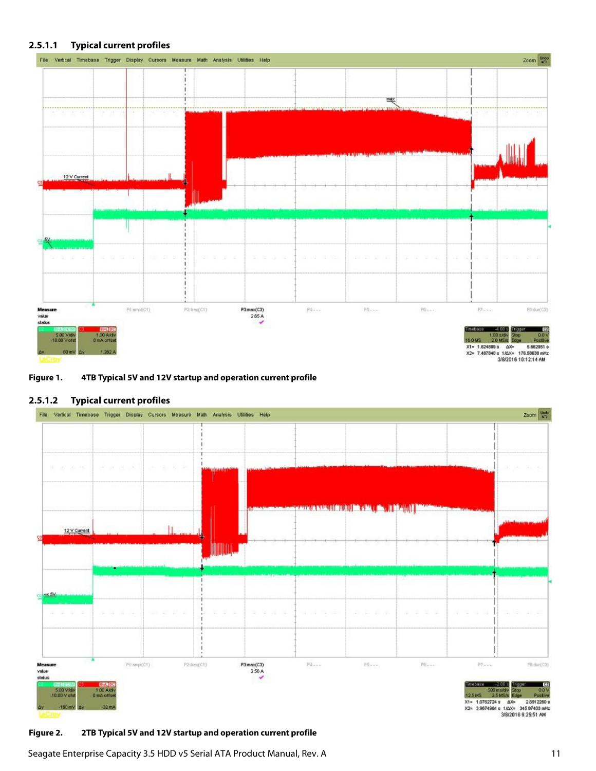#### **2.5.1.1 Typical current profiles**



#### **Figure 1. 4TB Typical 5V and 12V startup and operation current profile**

#### **2.5.1.2 Typical current profiles**



#### **Figure 2. 2TB Typical 5V and 12V startup and operation current profile**

Seagate Enterprise Capacity 3.5 HDD v5 Serial ATA Product Manual, Rev. A 11 11 11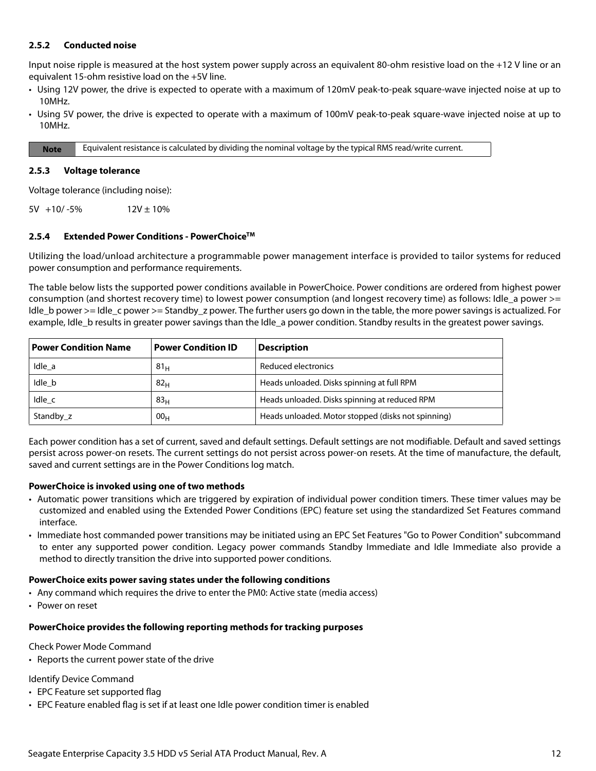#### <span id="page-12-0"></span>**2.5.2 Conducted noise**

Input noise ripple is measured at the host system power supply across an equivalent 80-ohm resistive load on the +12 V line or an equivalent 15-ohm resistive load on the +5V line.

- Using 12V power, the drive is expected to operate with a maximum of 120mV peak-to-peak square-wave injected noise at up to 10MHz.
- Using 5V power, the drive is expected to operate with a maximum of 100mV peak-to-peak square-wave injected noise at up to 10MHz.

**Note** Equivalent resistance is calculated by dividing the nominal voltage by the typical RMS read/write current.

#### <span id="page-12-1"></span>**2.5.3 Voltage tolerance**

Voltage tolerance (including noise):

 $5V +10/-5%$  12V ± 10%

#### <span id="page-12-2"></span>**2.5.4 Extended Power Conditions - PowerChoiceTM**

Utilizing the load/unload architecture a programmable power management interface is provided to tailor systems for reduced power consumption and performance requirements.

The table below lists the supported power conditions available in PowerChoice. Power conditions are ordered from highest power consumption (and shortest recovery time) to lowest power consumption (and longest recovery time) as follows: Idle\_a power >= Idle b power >= Idle c power >= Standby z power. The further users go down in the table, the more power savings is actualized. For example, Idle b results in greater power savings than the Idle a power condition. Standby results in the greatest power savings.

| <b>Power Condition Name</b> | <b>Power Condition ID</b> | <b>Description</b>                                 |
|-----------------------------|---------------------------|----------------------------------------------------|
| Idle a                      | 81 <sub>H</sub>           | Reduced electronics                                |
| Idle b                      | 82 <sub>H</sub>           | Heads unloaded. Disks spinning at full RPM         |
| Idle c                      | 83 <sub>H</sub>           | Heads unloaded. Disks spinning at reduced RPM      |
| Standby z                   | 00 <sub>H</sub>           | Heads unloaded. Motor stopped (disks not spinning) |

Each power condition has a set of current, saved and default settings. Default settings are not modifiable. Default and saved settings persist across power-on resets. The current settings do not persist across power-on resets. At the time of manufacture, the default, saved and current settings are in the Power Conditions log match.

#### **PowerChoice is invoked using one of two methods**

- Automatic power transitions which are triggered by expiration of individual power condition timers. These timer values may be customized and enabled using the Extended Power Conditions (EPC) feature set using the standardized Set Features command interface.
- Immediate host commanded power transitions may be initiated using an EPC Set Features "Go to Power Condition" subcommand to enter any supported power condition. Legacy power commands Standby Immediate and Idle Immediate also provide a method to directly transition the drive into supported power conditions.

#### **PowerChoice exits power saving states under the following conditions**

- Any command which requires the drive to enter the PM0: Active state (media access)
- Power on reset

#### **PowerChoice provides the following reporting methods for tracking purposes**

Check Power Mode Command

• Reports the current power state of the drive

Identify Device Command

- EPC Feature set supported flag
- EPC Feature enabled flag is set if at least one Idle power condition timer is enabled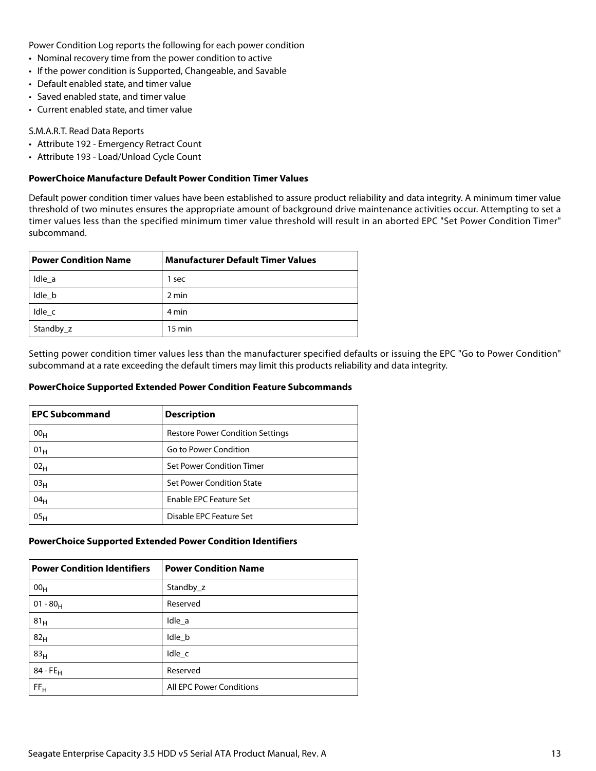Power Condition Log reports the following for each power condition

- Nominal recovery time from the power condition to active
- If the power condition is Supported, Changeable, and Savable
- Default enabled state, and timer value
- Saved enabled state, and timer value
- Current enabled state, and timer value

#### S.M.A.R.T. Read Data Reports

- Attribute 192 Emergency Retract Count
- Attribute 193 Load/Unload Cycle Count

#### **PowerChoice Manufacture Default Power Condition Timer Values**

Default power condition timer values have been established to assure product reliability and data integrity. A minimum timer value threshold of two minutes ensures the appropriate amount of background drive maintenance activities occur. Attempting to set a timer values less than the specified minimum timer value threshold will result in an aborted EPC "Set Power Condition Timer" subcommand.

| <b>Power Condition Name</b> | <b>Manufacturer Default Timer Values</b> |
|-----------------------------|------------------------------------------|
| Idle a                      | 1 sec                                    |
| Idle b                      | 2 min                                    |
| Idle c                      | 4 min                                    |
| Standby_z                   | $15 \text{ min}$                         |

Setting power condition timer values less than the manufacturer specified defaults or issuing the EPC "Go to Power Condition" subcommand at a rate exceeding the default timers may limit this products reliability and data integrity.

#### **PowerChoice Supported Extended Power Condition Feature Subcommands**

| <b>EPC Subcommand</b> | <b>Description</b>                      |
|-----------------------|-----------------------------------------|
| 00 <sub>H</sub>       | <b>Restore Power Condition Settings</b> |
| 01 <sub>H</sub>       | Go to Power Condition                   |
| 02 <sub>H</sub>       | Set Power Condition Timer               |
| 03 <sub>H</sub>       | <b>Set Power Condition State</b>        |
| 04 <sub>H</sub>       | <b>Enable EPC Feature Set</b>           |
| 05 <sub>H</sub>       | Disable EPC Feature Set                 |

#### **PowerChoice Supported Extended Power Condition Identifiers**

| <b>Power Condition Identifiers</b> | <b>Power Condition Name</b>     |
|------------------------------------|---------------------------------|
| 00 <sub>H</sub>                    | Standby_z                       |
| $01 - 80_H$                        | Reserved                        |
| 81 <sub>H</sub>                    | Idle_a                          |
| 82 <sub>H</sub>                    | Idle_b                          |
| 83 <sub>H</sub>                    | Idle c                          |
| $84 - FE_H$                        | Reserved                        |
| FF <sub>H</sub>                    | <b>All EPC Power Conditions</b> |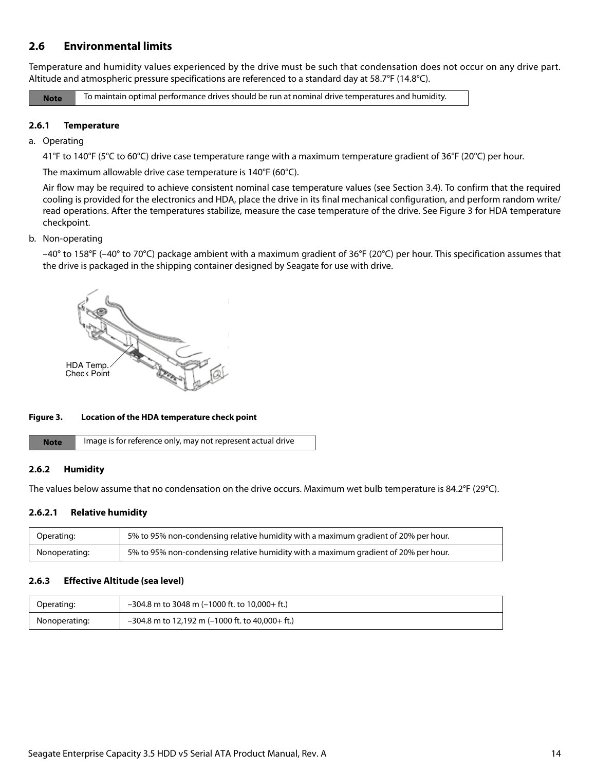## <span id="page-14-0"></span>**2.6 Environmental limits**

Temperature and humidity values experienced by the drive must be such that condensation does not occur on any drive part. Altitude and atmospheric pressure specifications are referenced to a standard day at 58.7°F (14.8°C).

**Note** To maintain optimal performance drives should be run at nominal drive temperatures and humidity.

#### <span id="page-14-1"></span>**2.6.1 Temperature**

a. Operating

41°F to 140°F (5°C to 60°C) drive case temperature range with a maximum temperature gradient of 36°F (20°C) per hour.

The maximum allowable drive case temperature is 140°F (60°C).

Air flow may be required to achieve consistent nominal case temperature values (see Section [3.4\)](#page-21-4). To confirm that the required cooling is provided for the electronics and HDA, place the drive in its final mechanical configuration, and perform random write/ read operations. After the temperatures stabilize, measure the case temperature of the drive. See Figure [3](#page-14-4) for HDA temperature checkpoint.

b. Non-operating

–40° to 158°F (–40° to 70°C) package ambient with a maximum gradient of 36°F (20°C) per hour. This specification assumes that the drive is packaged in the shipping container designed by Seagate for use with drive.



#### <span id="page-14-4"></span>**Figure 3. Location of the HDA temperature check point**

| <b>Note</b> | Image is for reference only, may not represent actual drive |
|-------------|-------------------------------------------------------------|
|-------------|-------------------------------------------------------------|

#### <span id="page-14-2"></span>**2.6.2 Humidity**

The values below assume that no condensation on the drive occurs. Maximum wet bulb temperature is 84.2°F (29°C).

#### **2.6.2.1 Relative humidity**

| Operating:    | 5% to 95% non-condensing relative humidity with a maximum gradient of 20% per hour. |
|---------------|-------------------------------------------------------------------------------------|
| Nonoperating: | 5% to 95% non-condensing relative humidity with a maximum gradient of 20% per hour. |

#### <span id="page-14-3"></span>**2.6.3 Effective Altitude (sea level)**

| Operating:    | $-304.8$ m to 3048 m (-1000 ft. to 10,000+ ft.)   |
|---------------|---------------------------------------------------|
| Nonoperating: | $-304.8$ m to 12,192 m (-1000 ft. to 40,000+ ft.) |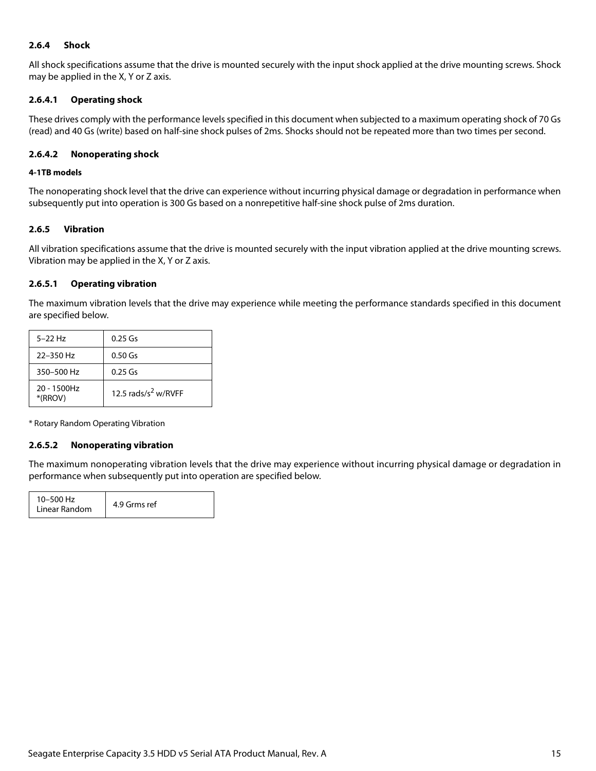#### <span id="page-15-0"></span>**2.6.4 Shock**

All shock specifications assume that the drive is mounted securely with the input shock applied at the drive mounting screws. Shock may be applied in the X, Y or Z axis.

#### **2.6.4.1 Operating shock**

These drives comply with the performance levels specified in this document when subjected to a maximum operating shock of 70 Gs (read) and 40 Gs (write) based on half-sine shock pulses of 2ms. Shocks should not be repeated more than two times per second.

#### **2.6.4.2 Nonoperating shock**

#### **4-1TB models**

The nonoperating shock level that the drive can experience without incurring physical damage or degradation in performance when subsequently put into operation is 300 Gs based on a nonrepetitive half-sine shock pulse of 2ms duration.

#### <span id="page-15-1"></span>**2.6.5 Vibration**

All vibration specifications assume that the drive is mounted securely with the input vibration applied at the drive mounting screws. Vibration may be applied in the X, Y or Z axis.

#### **2.6.5.1 Operating vibration**

The maximum vibration levels that the drive may experience while meeting the performance standards specified in this document are specified below.

| $5 - 22$ Hz               | $0.25$ Gs                       |
|---------------------------|---------------------------------|
| 22-350 Hz                 | $0.50$ Gs                       |
| 350-500 Hz                | $0.25$ Gs                       |
| $20 - 1500$ Hz<br>*(RROV) | 12.5 rads/s <sup>2</sup> w/RVFF |

\* Rotary Random Operating Vibration

#### **2.6.5.2 Nonoperating vibration**

The maximum nonoperating vibration levels that the drive may experience without incurring physical damage or degradation in performance when subsequently put into operation are specified below.

| 10-500 Hz<br>Linear Random | 4.9 Grms ref |
|----------------------------|--------------|
|----------------------------|--------------|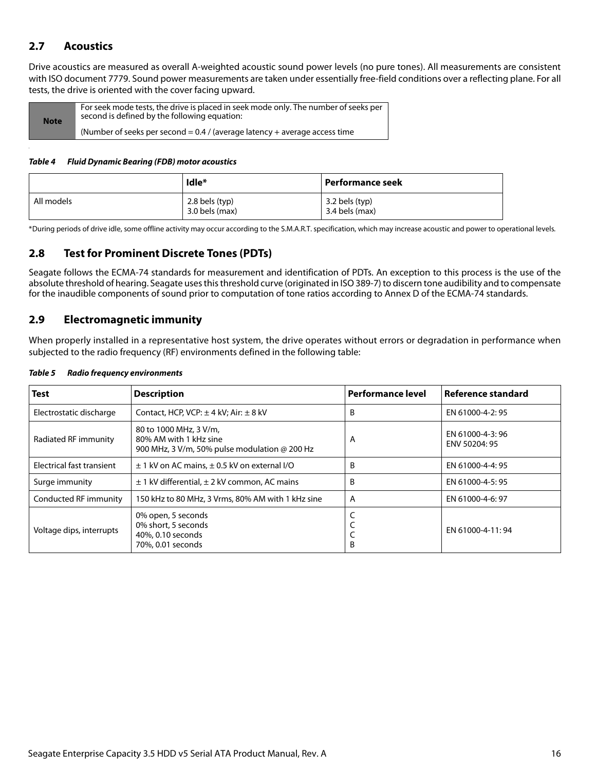## <span id="page-16-0"></span>**2.7 Acoustics**

Drive acoustics are measured as overall A-weighted acoustic sound power levels (no pure tones). All measurements are consistent with ISO document 7779. Sound power measurements are taken under essentially free-field conditions over a reflecting plane. For all tests, the drive is oriented with the cover facing upward.

| <b>Note</b> | For seek mode tests, the drive is placed in seek mode only. The number of seeks per<br>second is defined by the following equation: |
|-------------|-------------------------------------------------------------------------------------------------------------------------------------|
|             | (Number of seeks per second = $0.4$ / (average latency + average access time                                                        |

#### *Table 4 Fluid Dynamic Bearing (FDB) motor acoustics*

|            | Idle*                                | Performance seek                 |
|------------|--------------------------------------|----------------------------------|
| All models | $2.8$ bels (typ)<br>$3.0$ bels (max) | 3.2 bels (typ)<br>3.4 bels (max) |

\*During periods of drive idle, some offline activity may occur according to the S.M.A.R.T. specification, which may increase acoustic and power to operational levels.

## <span id="page-16-1"></span>**2.8 Test for Prominent Discrete Tones (PDTs)**

Seagate follows the ECMA-74 standards for measurement and identification of PDTs. An exception to this process is the use of the absolute threshold of hearing. Seagate uses this threshold curve (originated in ISO 389-7) to discern tone audibility and to compensate for the inaudible components of sound prior to computation of tone ratios according to Annex D of the ECMA-74 standards.

## <span id="page-16-2"></span>**2.9 Electromagnetic immunity**

When properly installed in a representative host system, the drive operates without errors or degradation in performance when subjected to the radio frequency (RF) environments defined in the following table:

| <b>Test</b>                                                                                                     | <b>Description</b>                                                                                       | <b>Performance level</b> | Reference standard               |
|-----------------------------------------------------------------------------------------------------------------|----------------------------------------------------------------------------------------------------------|--------------------------|----------------------------------|
| Electrostatic discharge                                                                                         | Contact, HCP, VCP: $\pm$ 4 kV; Air: $\pm$ 8 kV                                                           | B                        | EN 61000-4-2: 95                 |
| Radiated RF immunity                                                                                            | 80 to 1000 MHz, 3 V/m,<br>80% AM with 1 kHz sine<br>900 MHz, 3 V/m, 50% pulse modulation $\omega$ 200 Hz | A                        | EN 61000-4-3:96<br>ENV 50204: 95 |
| Electrical fast transient                                                                                       | $\pm$ 1 kV on AC mains, $\pm$ 0.5 kV on external I/O                                                     | B                        | EN 61000-4-4: 95                 |
| $\pm$ 1 kV differential, $\pm$ 2 kV common, AC mains<br>Surge immunity                                          |                                                                                                          | B                        | EN 61000-4-5: 95                 |
| Conducted RF immunity                                                                                           | 150 kHz to 80 MHz, 3 Vrms, 80% AM with 1 kHz sine                                                        | A                        | EN 61000-4-6: 97                 |
| 0% open, 5 seconds<br>0% short, 5 seconds<br>Voltage dips, interrupts<br>40%, 0.10 seconds<br>70%, 0.01 seconds |                                                                                                          | B                        | EN 61000-4-11:94                 |

#### *Table 5 Radio frequency environments*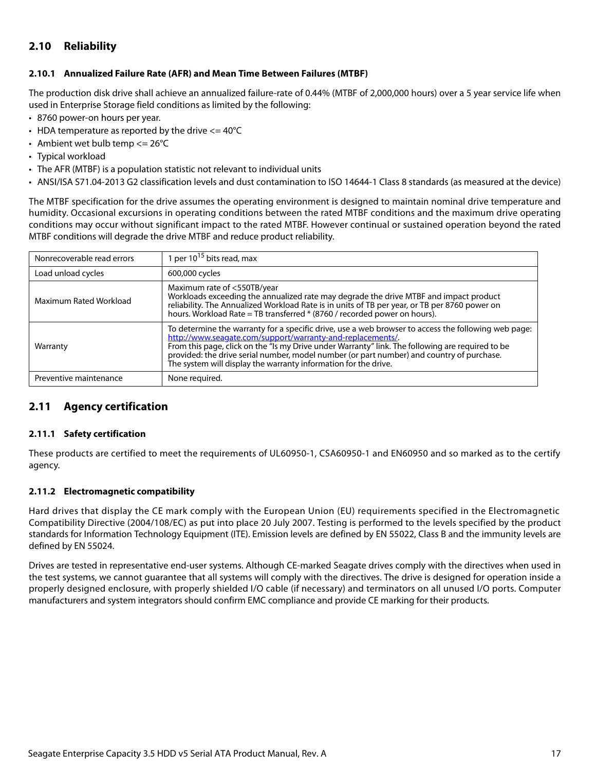## <span id="page-17-0"></span>**2.10 Reliability**

#### <span id="page-17-1"></span>**2.10.1 Annualized Failure Rate (AFR) and Mean Time Between Failures (MTBF)**

The production disk drive shall achieve an annualized failure-rate of 0.44% (MTBF of 2,000,000 hours) over a 5 year service life when used in Enterprise Storage field conditions as limited by the following:

- 8760 power-on hours per year.
- HDA temperature as reported by the drive  $\epsilon$  = 40°C
- Ambient wet bulb temp  $\leq$  26°C
- Typical workload
- The AFR (MTBF) is a population statistic not relevant to individual units
- ANSI/ISA S71.04-2013 G2 classification levels and dust contamination to ISO 14644-1 Class 8 standards (as measured at the device)

The MTBF specification for the drive assumes the operating environment is designed to maintain nominal drive temperature and humidity. Occasional excursions in operating conditions between the rated MTBF conditions and the maximum drive operating conditions may occur without significant impact to the rated MTBF. However continual or sustained operation beyond the rated MTBF conditions will degrade the drive MTBF and reduce product reliability.

| Nonrecoverable read errors | 1 per $10^{15}$ bits read, max                                                                                                                                                                                                                                                                                                                                                                                                       |
|----------------------------|--------------------------------------------------------------------------------------------------------------------------------------------------------------------------------------------------------------------------------------------------------------------------------------------------------------------------------------------------------------------------------------------------------------------------------------|
| Load unload cycles         | 600,000 cycles                                                                                                                                                                                                                                                                                                                                                                                                                       |
| Maximum Rated Workload     | Maximum rate of <550TB/year<br>Workloads exceeding the annualized rate may degrade the drive MTBF and impact product<br>reliability. The Annualized Workload Rate is in units of TB per year, or TB per 8760 power on<br>hours. Workload Rate = TB transferred $*(8760 /$ recorded power on hours).                                                                                                                                  |
| Warranty                   | To determine the warranty for a specific drive, use a web browser to access the following web page:<br>http://www.seagate.com/support/warranty-and-replacements/<br>From this page, click on the "Is my Drive under Warranty" link. The following are required to be<br>provided: the drive serial number, model number (or part number) and country of purchase.<br>The system will display the warranty information for the drive. |
| Preventive maintenance     | None required.                                                                                                                                                                                                                                                                                                                                                                                                                       |

## <span id="page-17-2"></span>**2.11 Agency certification**

#### <span id="page-17-3"></span>**2.11.1 Safety certification**

These products are certified to meet the requirements of UL60950-1, CSA60950-1 and EN60950 and so marked as to the certify agency.

#### <span id="page-17-4"></span>**2.11.2 Electromagnetic compatibility**

Hard drives that display the CE mark comply with the European Union (EU) requirements specified in the Electromagnetic Compatibility Directive (2004/108/EC) as put into place 20 July 2007. Testing is performed to the levels specified by the product standards for Information Technology Equipment (ITE). Emission levels are defined by EN 55022, Class B and the immunity levels are defined by EN 55024.

Drives are tested in representative end-user systems. Although CE-marked Seagate drives comply with the directives when used in the test systems, we cannot guarantee that all systems will comply with the directives. The drive is designed for operation inside a properly designed enclosure, with properly shielded I/O cable (if necessary) and terminators on all unused I/O ports. Computer manufacturers and system integrators should confirm EMC compliance and provide CE marking for their products.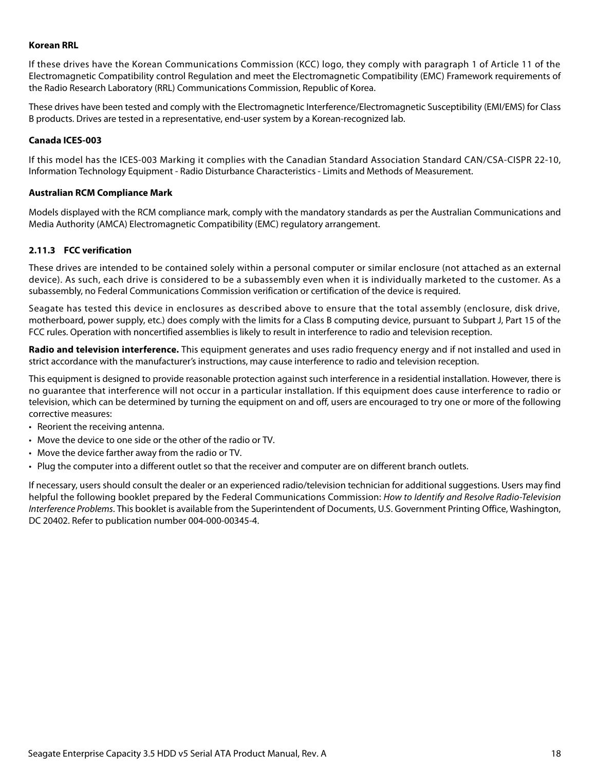#### **Korean RRL**

If these drives have the Korean Communications Commission (KCC) logo, they comply with paragraph 1 of Article 11 of the Electromagnetic Compatibility control Regulation and meet the Electromagnetic Compatibility (EMC) Framework requirements of the Radio Research Laboratory (RRL) Communications Commission, Republic of Korea.

These drives have been tested and comply with the Electromagnetic Interference/Electromagnetic Susceptibility (EMI/EMS) for Class B products. Drives are tested in a representative, end-user system by a Korean-recognized lab.

#### **Canada ICES-003**

If this model has the ICES-003 Marking it complies with the Canadian Standard Association Standard CAN/CSA-CISPR 22-10, Information Technology Equipment - Radio Disturbance Characteristics - Limits and Methods of Measurement.

#### **Australian RCM Compliance Mark**

Models displayed with the RCM compliance mark, comply with the mandatory standards as per the Australian Communications and Media Authority (AMCA) Electromagnetic Compatibility (EMC) regulatory arrangement.

#### <span id="page-18-0"></span>**2.11.3 FCC verification**

These drives are intended to be contained solely within a personal computer or similar enclosure (not attached as an external device). As such, each drive is considered to be a subassembly even when it is individually marketed to the customer. As a subassembly, no Federal Communications Commission verification or certification of the device is required.

Seagate has tested this device in enclosures as described above to ensure that the total assembly (enclosure, disk drive, motherboard, power supply, etc.) does comply with the limits for a Class B computing device, pursuant to Subpart J, Part 15 of the FCC rules. Operation with noncertified assemblies is likely to result in interference to radio and television reception.

**Radio and television interference.** This equipment generates and uses radio frequency energy and if not installed and used in strict accordance with the manufacturer's instructions, may cause interference to radio and television reception.

This equipment is designed to provide reasonable protection against such interference in a residential installation. However, there is no guarantee that interference will not occur in a particular installation. If this equipment does cause interference to radio or television, which can be determined by turning the equipment on and off, users are encouraged to try one or more of the following corrective measures:

- Reorient the receiving antenna.
- Move the device to one side or the other of the radio or TV.
- Move the device farther away from the radio or TV.
- Plug the computer into a different outlet so that the receiver and computer are on different branch outlets.

If necessary, users should consult the dealer or an experienced radio/television technician for additional suggestions. Users may find helpful the following booklet prepared by the Federal Communications Commission: How to Identify and Resolve Radio-Television Interference Problems. This booklet is available from the Superintendent of Documents, U.S. Government Printing Office, Washington, DC 20402. Refer to publication number 004-000-00345-4.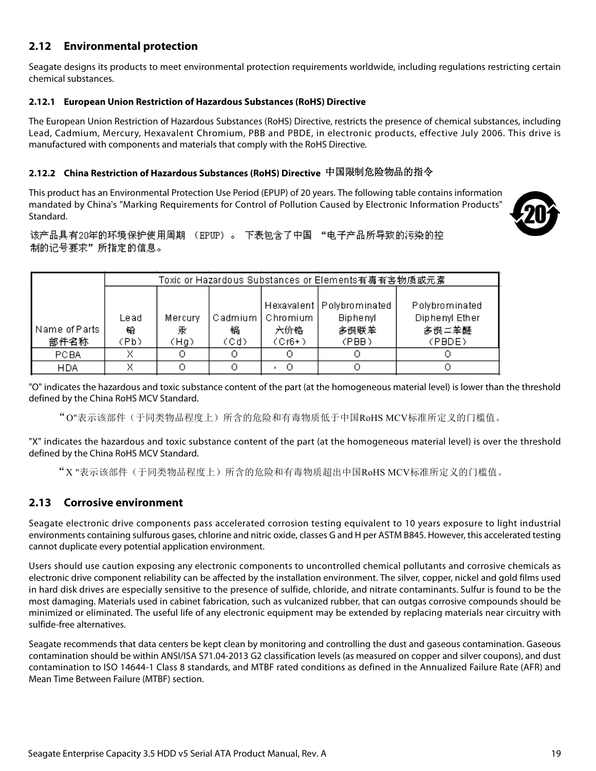## <span id="page-19-0"></span>**2.12 Environmental protection**

Seagate designs its products to meet environmental protection requirements worldwide, including regulations restricting certain chemical substances.

#### <span id="page-19-1"></span>**2.12.1 European Union Restriction of Hazardous Substances (RoHS) Directive**

The European Union Restriction of Hazardous Substances (RoHS) Directive, restricts the presence of chemical substances, including Lead, Cadmium, Mercury, Hexavalent Chromium, PBB and PBDE, in electronic products, effective July 2006. This drive is manufactured with components and materials that comply with the RoHS Directive.

## <span id="page-19-2"></span>**2.12.2 China Restriction of Hazardous Substances (RoHS) Directive**  中国限制危险物品的指令

This product has an Environmental Protection Use Period (EPUP) of 20 years. The following table contains information mandated by China's "Marking Requirements for Control of Pollution Caused by Electronic Information Products" Standard.



该产品具有20年的环境保护使用周期 (EPUP)。 下表包含了中国 "电子产品所导致的污染的控 制的记号要求"所指定的信息。

|               | Toxic or Hazardous Substances or Elements有毒有害物质或元素 |         |         |          |                             |                |
|---------------|----------------------------------------------------|---------|---------|----------|-----------------------------|----------------|
|               |                                                    |         |         |          |                             |                |
|               |                                                    |         |         |          | Hexavalent   Polybrominated | Polybrominated |
|               | Lead                                               | Mercury | Cadmium | Chromium | <b>Biphenyl</b>             | Diphenyl Ether |
| Name of Parts | 铅                                                  | 汞       | 锅       | 六价铬      | 多误联苯                        | 多误二苯醚          |
| 部件名称          | (Pb)                                               | (Hg)    | (Cd)    | $(Cr6+)$ | (PBB)                       | (PBDE)         |
| <b>PCBA</b>   | x                                                  |         | О       |          |                             |                |
| <b>HDA</b>    |                                                    |         |         |          |                             |                |

"O" indicates the hazardous and toxic substance content of the part (at the homogeneous material level) is lower than the threshold defined by the China RoHS MCV Standard.

"O"表示该部件(于同类物品程度上)所含的危险和有毒物质低于中国RoHS MCV标准所定义的门槛值。

"X" indicates the hazardous and toxic substance content of the part (at the homogeneous material level) is over the threshold defined by the China RoHS MCV Standard.

"X "表示该部件(于同类物品程度上)所含的危险和有毒物质超出中国RoHS MCV标准所定义的门槛值。

## <span id="page-19-3"></span>**2.13 Corrosive environment**

Seagate electronic drive components pass accelerated corrosion testing equivalent to 10 years exposure to light industrial environments containing sulfurous gases, chlorine and nitric oxide, classes G and H per ASTM B845. However, this accelerated testing cannot duplicate every potential application environment.

Users should use caution exposing any electronic components to uncontrolled chemical pollutants and corrosive chemicals as electronic drive component reliability can be affected by the installation environment. The silver, copper, nickel and gold films used in hard disk drives are especially sensitive to the presence of sulfide, chloride, and nitrate contaminants. Sulfur is found to be the most damaging. Materials used in cabinet fabrication, such as vulcanized rubber, that can outgas corrosive compounds should be minimized or eliminated. The useful life of any electronic equipment may be extended by replacing materials near circuitry with sulfide-free alternatives.

Seagate recommends that data centers be kept clean by monitoring and controlling the dust and gaseous contamination. Gaseous contamination should be within ANSI/ISA S71.04-2013 G2 classification levels (as measured on copper and silver coupons), and dust contamination to ISO 14644-1 Class 8 standards, and MTBF rated conditions as defined in the Annualized Failure Rate (AFR) and Mean Time Between Failure (MTBF) section.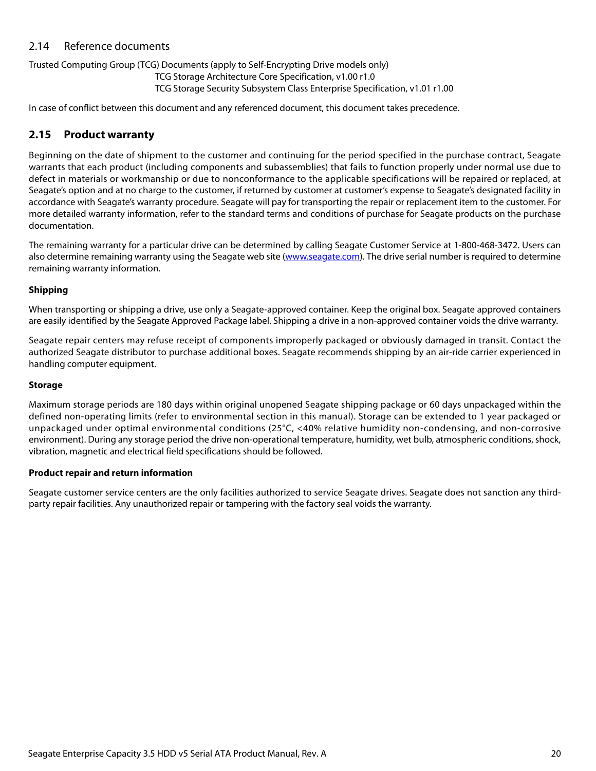## <span id="page-20-0"></span>2.14 Reference documents

#### Trusted Computing Group (TCG) Documents (apply to Self-Encrypting Drive models only)

TCG Storage Architecture Core Specification, v1.00 r1.0

TCG Storage Security Subsystem Class Enterprise Specification, v1.01 r1.00

In case of conflict between this document and any referenced document, this document takes precedence.

## <span id="page-20-1"></span>**2.15 Product warranty**

Beginning on the date of shipment to the customer and continuing for the period specified in the purchase contract, Seagate warrants that each product (including components and subassemblies) that fails to function properly under normal use due to defect in materials or workmanship or due to nonconformance to the applicable specifications will be repaired or replaced, at Seagate's option and at no charge to the customer, if returned by customer at customer's expense to Seagate's designated facility in accordance with Seagate's warranty procedure. Seagate will pay for transporting the repair or replacement item to the customer. For more detailed warranty information, refer to the standard terms and conditions of purchase for Seagate products on the purchase documentation.

[The remaining warranty for a particular drive can be determined by calling Seagate Customer Service at 1-800-468-3472. Users can](http://www.seagate.com) [also determine remaining warranty using the Seagate web site \(](http://www.seagate.com)www.seagate.com). The drive serial number is required to determine remaining warranty information.

#### **Shipping**

When transporting or shipping a drive, use only a Seagate-approved container. Keep the original box. Seagate approved containers are easily identified by the Seagate Approved Package label. Shipping a drive in a non-approved container voids the drive warranty.

Seagate repair centers may refuse receipt of components improperly packaged or obviously damaged in transit. Contact the authorized Seagate distributor to purchase additional boxes. Seagate recommends shipping by an air-ride carrier experienced in handling computer equipment.

#### **Storage**

Maximum storage periods are 180 days within original unopened Seagate shipping package or 60 days unpackaged within the defined non-operating limits (refer to environmental section in this manual). Storage can be extended to 1 year packaged or unpackaged under optimal environmental conditions (25°C, <40% relative humidity non-condensing, and non-corrosive environment). During any storage period the drive non-operational temperature, humidity, wet bulb, atmospheric conditions, shock, vibration, magnetic and electrical field specifications should be followed.

#### **Product repair and return information**

Seagate customer service centers are the only facilities authorized to service Seagate drives. Seagate does not sanction any thirdparty repair facilities. Any unauthorized repair or tampering with the factory seal voids the warranty.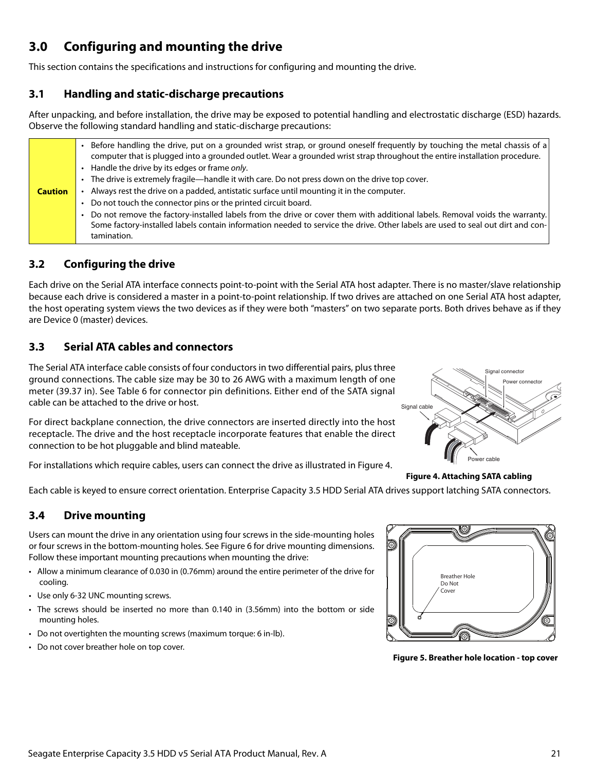## <span id="page-21-0"></span>**3.0 Configuring and mounting the drive**

This section contains the specifications and instructions for configuring and mounting the drive.

## <span id="page-21-1"></span>**3.1 Handling and static-discharge precautions**

After unpacking, and before installation, the drive may be exposed to potential handling and electrostatic discharge (ESD) hazards. Observe the following standard handling and static-discharge precautions:

|                | Before handling the drive, put on a grounded wrist strap, or ground oneself frequently by touching the metal chassis of a<br>computer that is plugged into a grounded outlet. Wear a grounded wrist strap throughout the entire installation procedure.<br>• Handle the drive by its edges or frame only. |
|----------------|-----------------------------------------------------------------------------------------------------------------------------------------------------------------------------------------------------------------------------------------------------------------------------------------------------------|
|                | • The drive is extremely fragile—handle it with care. Do not press down on the drive top cover.                                                                                                                                                                                                           |
| <b>Caution</b> | Always rest the drive on a padded, antistatic surface until mounting it in the computer.                                                                                                                                                                                                                  |
|                | • Do not touch the connector pins or the printed circuit board.                                                                                                                                                                                                                                           |
|                | . Do not remove the factory-installed labels from the drive or cover them with additional labels. Removal voids the warranty.                                                                                                                                                                             |
|                | Some factory-installed labels contain information needed to service the drive. Other labels are used to seal out dirt and con-<br>tamination.                                                                                                                                                             |

## <span id="page-21-2"></span>**3.2 Configuring the drive**

Each drive on the Serial ATA interface connects point-to-point with the Serial ATA host adapter. There is no master/slave relationship because each drive is considered a master in a point-to-point relationship. If two drives are attached on one Serial ATA host adapter, the host operating system views the two devices as if they were both "masters" on two separate ports. Both drives behave as if they are Device 0 (master) devices.

## <span id="page-21-3"></span>**3.3 Serial ATA cables and connectors**

The Serial ATA interface cable consists of four conductors in two differential pairs, plus three ground connections. The cable size may be 30 to 26 AWG with a maximum length of one meter (39.37 in). See Table 6 for connector pin definitions. Either end of the SATA signal cable can be attached to the drive or host.

For direct backplane connection, the drive connectors are inserted directly into the host receptacle. The drive and the host receptacle incorporate features that enable the direct connection to be hot pluggable and blind mateable.

<span id="page-21-5"></span>For installations which require cables, users can connect the drive as illustrated in Figure [4](#page-21-5).



**Figure 4. Attaching SATA cabling** 

Each cable is keyed to ensure correct orientation. Enterprise Capacity 3.5 HDD Serial ATA drives support latching SATA connectors.

## <span id="page-21-4"></span>**3.4 Drive mounting**

Users can mount the drive in any orientation using four screws in the side-mounting holes or four screws in the bottom-mounting holes. See Figure [6](#page-22-1) for drive mounting dimensions. Follow these important mounting precautions when mounting the drive:

- Allow a minimum clearance of 0.030 in (0.76mm) around the entire perimeter of the drive for cooling.
- Use only 6-32 UNC mounting screws.
- The screws should be inserted no more than 0.140 in (3.56mm) into the bottom or side mounting holes.
- Do not overtighten the mounting screws (maximum torque: 6 in-lb).
- Do not cover breather hole on top cover.

Breather Hole Do Not Cover

**Figure 5. Breather hole location - top cover**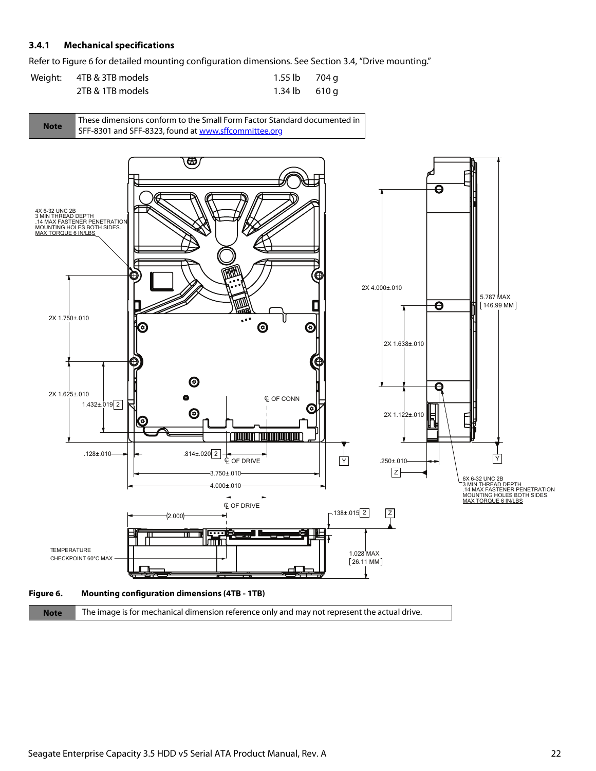#### <span id="page-22-0"></span>**3.4.1 Mechanical specifications**

Refer to Figure [6](#page-22-1) for detailed mounting configuration dimensions. See Section [3.4](#page-21-4), "Drive mounting."

| Weight: 4TB & 3TB models | 1.55 lb 704 g           |  |
|--------------------------|-------------------------|--|
| 2TB & 1TB models         | $1.34 \text{ lb}$ 610 q |  |



<span id="page-22-1"></span>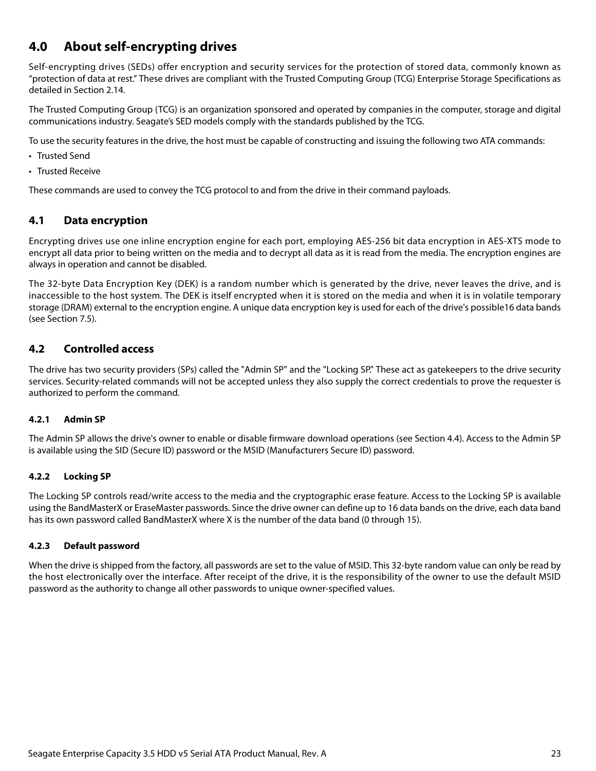## <span id="page-23-0"></span>**4.0 About self-encrypting drives**

Self-encrypting drives (SEDs) offer encryption and security services for the protection of stored data, commonly known as "protection of data at rest." These drives are compliant with the Trusted Computing Group (TCG) Enterprise Storage Specifications as detailed in [Section 2.14.](#page-20-0)

The Trusted Computing Group (TCG) is an organization sponsored and operated by companies in the computer, storage and digital communications industry. Seagate's SED models comply with the standards published by the TCG.

To use the security features in the drive, the host must be capable of constructing and issuing the following two ATA commands:

- Trusted Send
- Trusted Receive

These commands are used to convey the TCG protocol to and from the drive in their command payloads.

## <span id="page-23-1"></span>**4.1 Data encryption**

Encrypting drives use one inline encryption engine for each port, employing AES-256 bit data encryption in AES-XTS mode to encrypt all data prior to being written on the media and to decrypt all data as it is read from the media. The encryption engines are always in operation and cannot be disabled.

The 32-byte Data Encryption Key (DEK) is a random number which is generated by the drive, never leaves the drive, and is inaccessible to the host system. The DEK is itself encrypted when it is stored on the media and when it is in volatile temporary storage (DRAM) external to the encryption engine. A unique data encryption key is used for each of the drive's possible16 data bands (see Section 7.5).

## <span id="page-23-2"></span>**4.2 Controlled access**

The drive has two security providers (SPs) called the "Admin SP" and the "Locking SP." These act as gatekeepers to the drive security services. Security-related commands will not be accepted unless they also supply the correct credentials to prove the requester is authorized to perform the command.

#### <span id="page-23-3"></span>**4.2.1 Admin SP**

The Admin SP allows the drive's owner to enable or disable firmware download operations (see [Section 4.4](#page-24-1)). Access to the Admin SP is available using the SID (Secure ID) password or the MSID (Manufacturers Secure ID) password.

#### <span id="page-23-4"></span>**4.2.2 Locking SP**

The Locking SP controls read/write access to the media and the cryptographic erase feature. Access to the Locking SP is available using the BandMasterX or EraseMaster passwords. Since the drive owner can define up to 16 data bands on the drive, each data band has its own password called BandMasterX where X is the number of the data band (0 through 15).

#### <span id="page-23-5"></span>**4.2.3 Default password**

When the drive is shipped from the factory, all passwords are set to the value of MSID. This 32-byte random value can only be read by the host electronically over the interface. After receipt of the drive, it is the responsibility of the owner to use the default MSID password as the authority to change all other passwords to unique owner-specified values.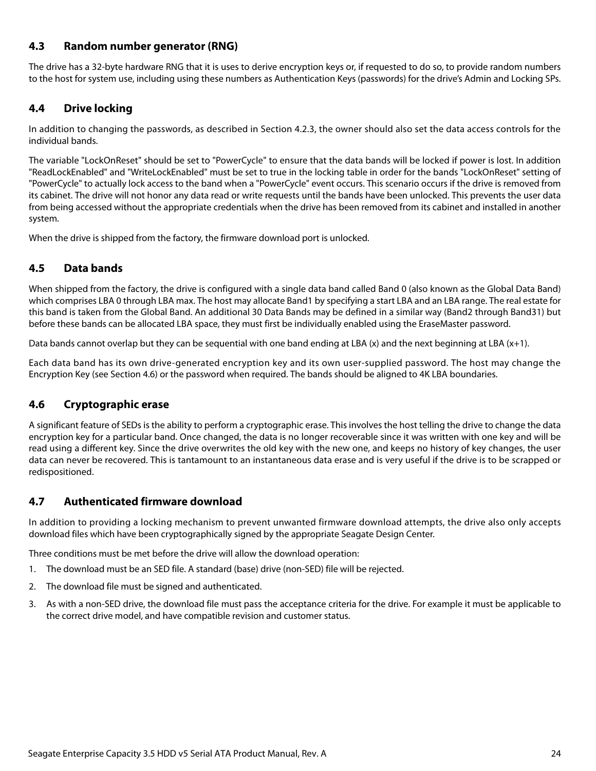## <span id="page-24-0"></span>**4.3 Random number generator (RNG)**

The drive has a 32-byte hardware RNG that it is uses to derive encryption keys or, if requested to do so, to provide random numbers to the host for system use, including using these numbers as Authentication Keys (passwords) for the drive's Admin and Locking SPs.

#### <span id="page-24-1"></span>**4.4 Drive locking**

In addition to changing the passwords, as described in [Section 4.2.3](#page-23-5), the owner should also set the data access controls for the individual bands.

The variable "LockOnReset" should be set to "PowerCycle" to ensure that the data bands will be locked if power is lost. In addition "ReadLockEnabled" and "WriteLockEnabled" must be set to true in the locking table in order for the bands "LockOnReset" setting of "PowerCycle" to actually lock access to the band when a "PowerCycle" event occurs. This scenario occurs if the drive is removed from its cabinet. The drive will not honor any data read or write requests until the bands have been unlocked. This prevents the user data from being accessed without the appropriate credentials when the drive has been removed from its cabinet and installed in another system.

When the drive is shipped from the factory, the firmware download port is unlocked.

## <span id="page-24-2"></span>**4.5 Data bands**

When shipped from the factory, the drive is configured with a single data band called Band 0 (also known as the Global Data Band) which comprises LBA 0 through LBA max. The host may allocate Band1 by specifying a start LBA and an LBA range. The real estate for this band is taken from the Global Band. An additional 30 Data Bands may be defined in a similar way (Band2 through Band31) but before these bands can be allocated LBA space, they must first be individually enabled using the EraseMaster password.

Data bands cannot overlap but they can be sequential with one band ending at LBA  $(x)$  and the next beginning at LBA  $(x+1)$ .

Each data band has its own drive-generated encryption key and its own user-supplied password. The host may change the Encryption Key (see [Section 4.6](#page-24-3)) or the password when required. The bands should be aligned to 4K LBA boundaries.

## <span id="page-24-3"></span>**4.6 Cryptographic erase**

A significant feature of SEDs is the ability to perform a cryptographic erase. This involves the host telling the drive to change the data encryption key for a particular band. Once changed, the data is no longer recoverable since it was written with one key and will be read using a different key. Since the drive overwrites the old key with the new one, and keeps no history of key changes, the user data can never be recovered. This is tantamount to an instantaneous data erase and is very useful if the drive is to be scrapped or redispositioned.

## <span id="page-24-4"></span>**4.7 Authenticated firmware download**

In addition to providing a locking mechanism to prevent unwanted firmware download attempts, the drive also only accepts download files which have been cryptographically signed by the appropriate Seagate Design Center.

Three conditions must be met before the drive will allow the download operation:

- 1. The download must be an SED file. A standard (base) drive (non-SED) file will be rejected.
- 2. The download file must be signed and authenticated.
- 3. As with a non-SED drive, the download file must pass the acceptance criteria for the drive. For example it must be applicable to the correct drive model, and have compatible revision and customer status.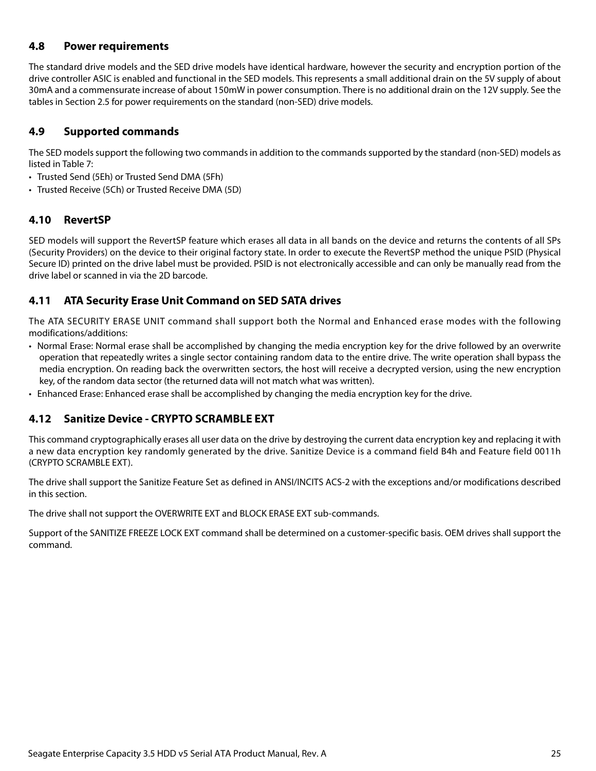## <span id="page-25-0"></span>**4.8 Power requirements**

The standard drive models and the SED drive models have identical hardware, however the security and encryption portion of the drive controller ASIC is enabled and functional in the SED models. This represents a small additional drain on the 5V supply of about 30mA and a commensurate increase of about 150mW in power consumption. There is no additional drain on the 12V supply. See the tables in [Section 2.5](#page-9-0) for power requirements on the standard (non-SED) drive models.

## <span id="page-25-1"></span>**4.9 Supported commands**

The SED models support the following two commands in addition to the commands supported by the standard (non-SED) models as listed in Table [7:](#page-28-1)

- Trusted Send (5Eh) or Trusted Send DMA (5Fh)
- Trusted Receive (5Ch) or Trusted Receive DMA (5D)

## <span id="page-25-2"></span>**4.10 RevertSP**

SED models will support the RevertSP feature which erases all data in all bands on the device and returns the contents of all SPs (Security Providers) on the device to their original factory state. In order to execute the RevertSP method the unique PSID (Physical Secure ID) printed on the drive label must be provided. PSID is not electronically accessible and can only be manually read from the drive label or scanned in via the 2D barcode.

## <span id="page-25-3"></span>**4.11 ATA Security Erase Unit Command on SED SATA drives**

The ATA SECURITY ERASE UNIT command shall support both the Normal and Enhanced erase modes with the following modifications/additions:

- Normal Erase: Normal erase shall be accomplished by changing the media encryption key for the drive followed by an overwrite operation that repeatedly writes a single sector containing random data to the entire drive. The write operation shall bypass the media encryption. On reading back the overwritten sectors, the host will receive a decrypted version, using the new encryption key, of the random data sector (the returned data will not match what was written).
- Enhanced Erase: Enhanced erase shall be accomplished by changing the media encryption key for the drive.

## <span id="page-25-4"></span>**4.12 Sanitize Device - CRYPTO SCRAMBLE EXT**

This command cryptographically erases all user data on the drive by destroying the current data encryption key and replacing it with a new data encryption key randomly generated by the drive. Sanitize Device is a command field B4h and Feature field 0011h (CRYPTO SCRAMBLE EXT).

The drive shall support the Sanitize Feature Set as defined in ANSI/INCITS ACS-2 with the exceptions and/or modifications described in this section.

The drive shall not support the OVERWRITE EXT and BLOCK ERASE EXT sub-commands.

Support of the SANITIZE FREEZE LOCK EXT command shall be determined on a customer-specific basis. OEM drives shall support the command.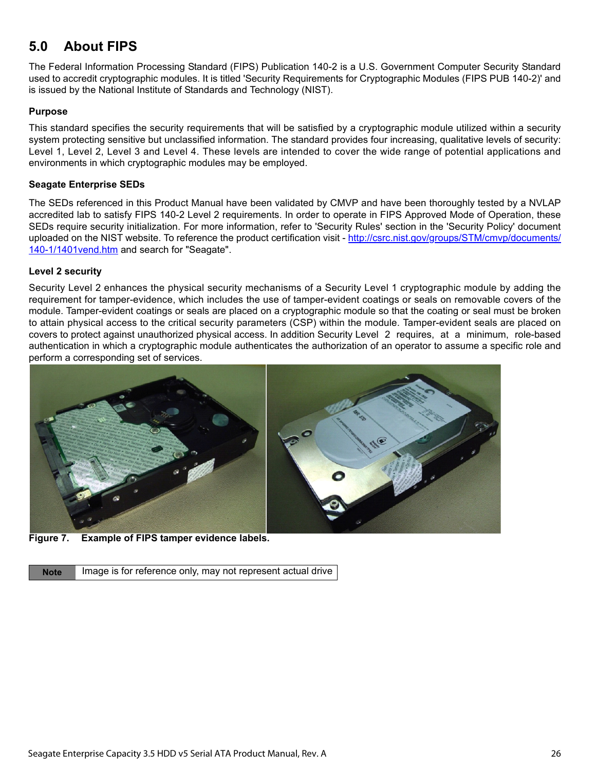## <span id="page-26-0"></span>**5.0 About FIPS**

The Federal Information Processing Standard (FIPS) Publication 140-2 is a U.S. Government Computer Security Standard used to accredit cryptographic modules. It is titled 'Security Requirements for Cryptographic Modules (FIPS PUB 140-2)' and is issued by the National Institute of Standards and Technology (NIST).

#### **Purpose**

This standard specifies the security requirements that will be satisfied by a cryptographic module utilized within a security system protecting sensitive but unclassified information. The standard provides four increasing, qualitative levels of security: Level 1, Level 2, Level 3 and Level 4. These levels are intended to cover the wide range of potential applications and environments in which cryptographic modules may be employed.

#### **Seagate Enterprise SEDs**

[The SEDs referenced in this Product Manual have been validated by CMVP and have been thoroughly tested by a NVLAP](http://csrc.nist.gov/groups/STM/cmvp/documents/140-1/1401vend.htm) accredited lab to satisfy FIPS 140-2 Level 2 requirements. In order to operate in FIPS Approved Mode of Operation, these SEDs require security initialization. For more information, refer to 'Security Rules' section in the 'Security Policy' document [uploaded on the NIST website. To reference the product certification visit - h](http://csrc.nist.gov/groups/STM/cmvp/documents/140-1/1401vend.htm)ttp://csrc.nist.gov/groups/STM/cmvp/documents/ 140-1/1401 vend.htm and search for "Seagate".

#### **Level 2 security**

Security Level 2 enhances the physical security mechanisms of a Security Level 1 cryptographic module by adding the requirement for tamper-evidence, which includes the use of tamper-evident coatings or seals on removable covers of the module. Tamper-evident coatings or seals are placed on a cryptographic module so that the coating or seal must be broken to attain physical access to the critical security parameters (CSP) within the module. Tamper-evident seals are placed on covers to protect against unauthorized physical access. In addition Security Level 2 requires, at a minimum, role-based authentication in which a cryptographic module authenticates the authorization of an operator to assume a specific role and perform a corresponding set of services.



**Figure 7. Example of FIPS tamper evidence labels.** 

**Note** Image is for reference only, may not represent actual drive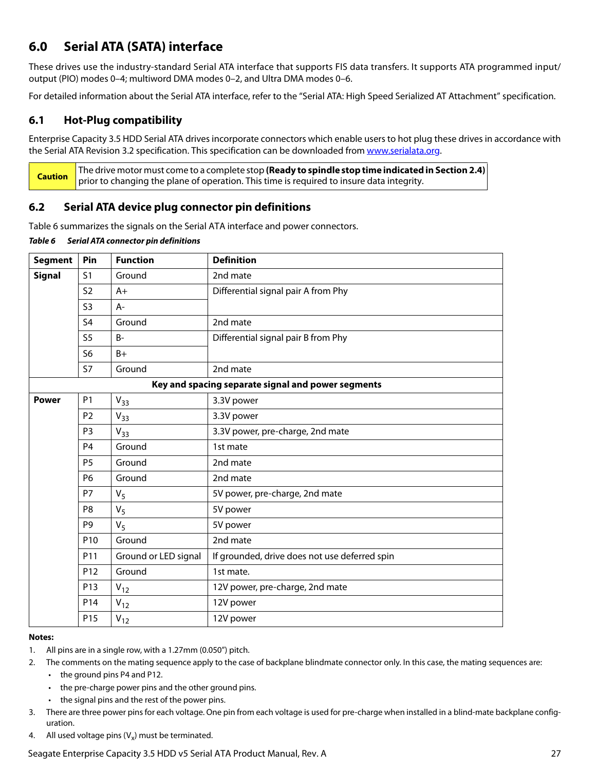## <span id="page-27-0"></span>**6.0 Serial ATA (SATA) interface**

These drives use the industry-standard Serial ATA interface that supports FIS data transfers. It supports ATA programmed input/ output (PIO) modes 0–4; multiword DMA modes 0–2, and Ultra DMA modes 0–6.

For detailed information about the Serial ATA interface, refer to the "Serial ATA: High Speed Serialized AT Attachment" specification.

## <span id="page-27-1"></span>**6.1 Hot-Plug compatibility**

Enterprise Capacity 3.5 HDD Serial ATA drives incorporate connectors which enable users to hot plug these drives in accordance with the Serial ATA Revision 3.2 specification. This specification can be downloaded from [www.serialata.org](http://www.serialata.org).

**Caution** The drive motor must come to a complete stop **(Ready to spindle stop time indicated in [Section 2.4\)](#page-8-3)** prior to changing the plane of operation. This time is required to insure data integrity.

## <span id="page-27-2"></span>**6.2 Serial ATA device plug connector pin definitions**

Table 6 summarizes the signals on the Serial ATA interface and power connectors.

|  |                                              |  | المتحصين والمستحر المستنسبة والمستحر | $\mathbf{R}$ |
|--|----------------------------------------------|--|--------------------------------------|--------------|
|  | Table 6 Serial ATA connector pin definitions |  |                                      |              |

| <b>Segment</b> | Pin             | <b>Function</b>      | <b>Definition</b>                                  |  |
|----------------|-----------------|----------------------|----------------------------------------------------|--|
| <b>Signal</b>  | S <sub>1</sub>  | Ground               | 2nd mate                                           |  |
|                | <b>S2</b>       | $A+$                 | Differential signal pair A from Phy                |  |
|                | S <sub>3</sub>  | A-                   |                                                    |  |
|                | S <sub>4</sub>  | Ground               | 2nd mate                                           |  |
|                | S <sub>5</sub>  | $B -$                | Differential signal pair B from Phy                |  |
|                | S <sub>6</sub>  | $B+$                 |                                                    |  |
|                | <b>S7</b>       | Ground               | 2nd mate                                           |  |
|                |                 |                      | Key and spacing separate signal and power segments |  |
| <b>Power</b>   | P <sub>1</sub>  | $V_{33}$             | 3.3V power                                         |  |
|                | P <sub>2</sub>  | $V_{33}$             | 3.3V power                                         |  |
|                | P <sub>3</sub>  | $V_{33}$             | 3.3V power, pre-charge, 2nd mate                   |  |
|                | P <sub>4</sub>  | Ground               | 1st mate                                           |  |
|                | <b>P5</b>       | Ground               | 2nd mate                                           |  |
|                | P <sub>6</sub>  | Ground               | 2nd mate                                           |  |
|                | P7              | $V_5$                | 5V power, pre-charge, 2nd mate                     |  |
|                | P <sub>8</sub>  | $V_5$                | 5V power                                           |  |
|                | P <sub>9</sub>  | V <sub>5</sub>       | 5V power                                           |  |
|                | P10             | Ground               | 2nd mate                                           |  |
|                | P <sub>11</sub> | Ground or LED signal | If grounded, drive does not use deferred spin      |  |
|                | P <sub>12</sub> | Ground               | 1st mate.                                          |  |
|                | P13             | $V_{12}$             | 12V power, pre-charge, 2nd mate                    |  |
|                | P14             | $V_{12}$             | 12V power                                          |  |
|                | P15             | $V_{12}$             | 12V power                                          |  |

#### **Notes:**

- 1. All pins are in a single row, with a 1.27mm (0.050") pitch.
- 2. The comments on the mating sequence apply to the case of backplane blindmate connector only. In this case, the mating sequences are:
	- the ground pins P4 and P12.
	- the pre-charge power pins and the other ground pins.
	- the signal pins and the rest of the power pins.
- 3. There are three power pins for each voltage. One pin from each voltage is used for pre-charge when installed in a blind-mate backplane configuration.
- 4. All used voltage pins  $(V_x)$  must be terminated.

Seagate Enterprise Capacity 3.5 HDD v5 Serial ATA Product Manual, Rev. A 27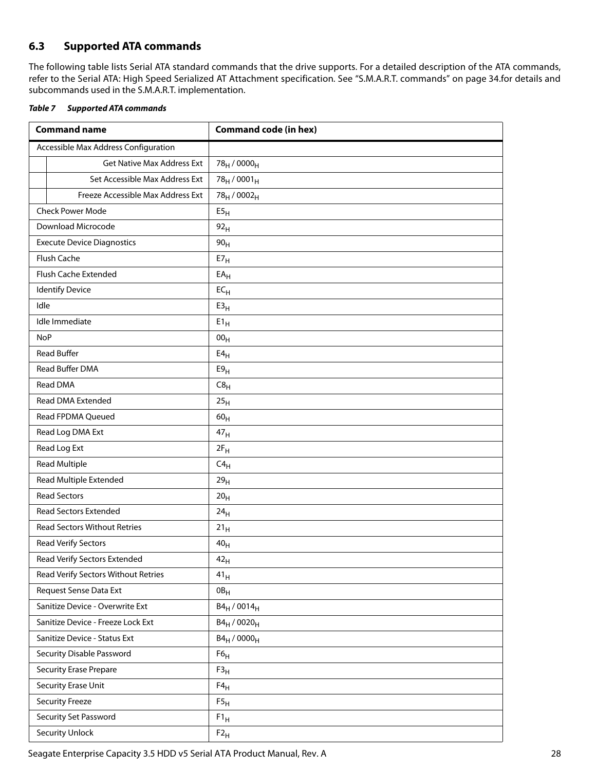## <span id="page-28-0"></span>**6.3 Supported ATA commands**

The following table lists Serial ATA standard commands that the drive supports. For a detailed description of the ATA commands, refer to the Serial ATA: High Speed Serialized AT Attachment specification. [See "S.M.A.R.T. commands" on page 34.f](#page-34-0)or details and subcommands used in the S.M.A.R.T. implementation.

<span id="page-28-1"></span>

| <b>Table 7 Supported ATA commands</b> |
|---------------------------------------|
|                                       |

| <b>Command name</b>                  | <b>Command code (in hex)</b>        |  |  |
|--------------------------------------|-------------------------------------|--|--|
| Accessible Max Address Configuration |                                     |  |  |
| <b>Get Native Max Address Ext</b>    | 78 <sub>H</sub> / 0000 <sub>H</sub> |  |  |
| Set Accessible Max Address Ext       | $78_H / 0001_H$                     |  |  |
| Freeze Accessible Max Address Ext    | 78 <sub>H</sub> / 0002 <sub>H</sub> |  |  |
| <b>Check Power Mode</b>              | E5 <sub>H</sub>                     |  |  |
| Download Microcode                   | 92 <sub>H</sub>                     |  |  |
| <b>Execute Device Diagnostics</b>    | 90 <sub>H</sub>                     |  |  |
| Flush Cache                          | $E7_H$                              |  |  |
| Flush Cache Extended                 | $EA_{H}$                            |  |  |
| <b>Identify Device</b>               | $EC_{H}$                            |  |  |
| Idle                                 | E3 <sub>H</sub>                     |  |  |
| Idle Immediate                       | $E1_H$                              |  |  |
| <b>NoP</b>                           | 00 <sub>H</sub>                     |  |  |
| <b>Read Buffer</b>                   | E4 <sub>H</sub>                     |  |  |
| Read Buffer DMA                      | E9 <sub>H</sub>                     |  |  |
| Read DMA                             | C8 <sub>H</sub>                     |  |  |
| Read DMA Extended                    | 25 <sub>H</sub>                     |  |  |
| Read FPDMA Queued                    | 60 <sub>H</sub>                     |  |  |
| Read Log DMA Ext                     | 47 <sub>H</sub>                     |  |  |
| Read Log Ext                         | $2F_H$                              |  |  |
| <b>Read Multiple</b>                 | $C4_H$                              |  |  |
| Read Multiple Extended               | 29 <sub>H</sub>                     |  |  |
| <b>Read Sectors</b>                  | 20 <sub>H</sub>                     |  |  |
| Read Sectors Extended                | 24 <sub>H</sub>                     |  |  |
| <b>Read Sectors Without Retries</b>  | $21_H$                              |  |  |
| Read Verify Sectors                  | 40 <sub>H</sub>                     |  |  |
| Read Verify Sectors Extended         | 42 <sub>H</sub>                     |  |  |
| Read Verify Sectors Without Retries  | 41 <sub>H</sub>                     |  |  |
| Request Sense Data Ext               | $0B_H$                              |  |  |
| Sanitize Device - Overwrite Ext      | $B4_H / 0014_H$                     |  |  |
| Sanitize Device - Freeze Lock Ext    | $B4_H / 0020_H$                     |  |  |
| Sanitize Device - Status Ext         | $B4_H / 0000_H$                     |  |  |
| Security Disable Password            | F6 <sub>H</sub>                     |  |  |
| <b>Security Erase Prepare</b>        | F3 <sub>H</sub>                     |  |  |
| Security Erase Unit                  | $F4_H$                              |  |  |
| <b>Security Freeze</b>               | $\mathsf{F5}_\mathsf{H}$            |  |  |
| Security Set Password                | $F1_H$                              |  |  |
| <b>Security Unlock</b>               | $F2_H$                              |  |  |

Seagate Enterprise Capacity 3.5 HDD v5 Serial ATA Product Manual, Rev. A 28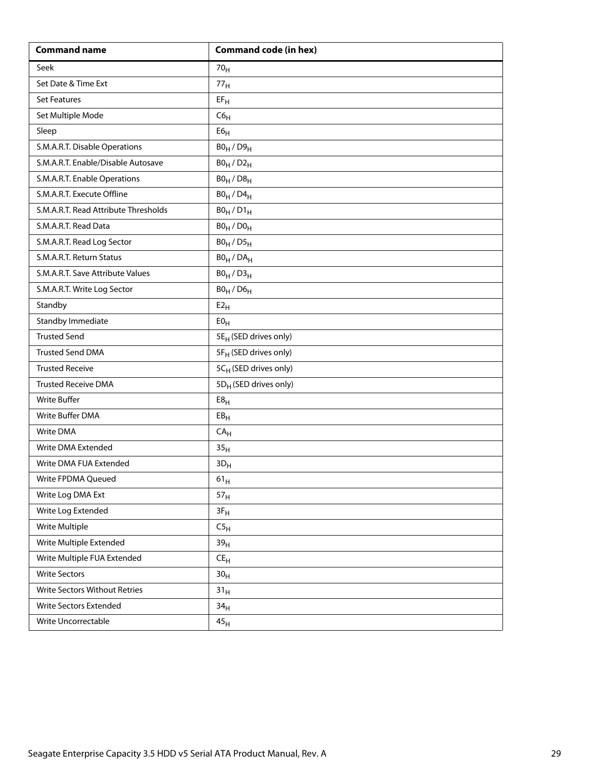| <b>Command name</b>                  | <b>Command code (in hex)</b>      |  |  |
|--------------------------------------|-----------------------------------|--|--|
| Seek                                 | 70 <sub>H</sub>                   |  |  |
| Set Date & Time Ext                  | 77 <sub>H</sub>                   |  |  |
| <b>Set Features</b>                  | $EF_H$                            |  |  |
| Set Multiple Mode                    | C6 <sub>H</sub>                   |  |  |
| Sleep                                | ${\sf E6}_{\sf H}$                |  |  |
| S.M.A.R.T. Disable Operations        | $B0_H / D9_H$                     |  |  |
| S.M.A.R.T. Enable/Disable Autosave   | $B0_H / D2_H$                     |  |  |
| S.M.A.R.T. Enable Operations         | $B0_H / D8_H$                     |  |  |
| S.M.A.R.T. Execute Offline           | $B0_H$ / $D4_H$                   |  |  |
| S.M.A.R.T. Read Attribute Thresholds | $B0_H / D1_H$                     |  |  |
| S.M.A.R.T. Read Data                 | $B0_H / D0_H$                     |  |  |
| S.M.A.R.T. Read Log Sector           | $B0_H / D5_H$                     |  |  |
| S.M.A.R.T. Return Status             | $BO_H / DA_H$                     |  |  |
| S.M.A.R.T. Save Attribute Values     | $B0_H / D3_H$                     |  |  |
| S.M.A.R.T. Write Log Sector          | $B0_H$ / $D6_H$                   |  |  |
| Standby                              | E2 <sub>H</sub>                   |  |  |
| <b>Standby Immediate</b>             | E0 <sub>H</sub>                   |  |  |
| <b>Trusted Send</b>                  | 5E <sub>H</sub> (SED drives only) |  |  |
| <b>Trusted Send DMA</b>              | 5F <sub>H</sub> (SED drives only) |  |  |
| <b>Trusted Receive</b>               | 5CH (SED drives only)             |  |  |
| <b>Trusted Receive DMA</b>           | 5D <sub>H</sub> (SED drives only) |  |  |
| <b>Write Buffer</b>                  | E8 <sub>H</sub>                   |  |  |
| Write Buffer DMA                     | EB <sub>H</sub>                   |  |  |
| Write DMA                            | CA <sub>H</sub>                   |  |  |
| Write DMA Extended                   | 35 <sub>H</sub>                   |  |  |
| Write DMA FUA Extended               | $3D_H$                            |  |  |
| Write FPDMA Queued                   | $61_{\rm H}$                      |  |  |
| Write Log DMA Ext                    | 57 <sub>H</sub>                   |  |  |
| Write Log Extended                   | $3F_H$                            |  |  |
| Write Multiple                       | C5 <sub>H</sub>                   |  |  |
| Write Multiple Extended              | 39 <sub>H</sub>                   |  |  |
| Write Multiple FUA Extended          | $\mathsf{CE}_\mathsf{H}$          |  |  |
| <b>Write Sectors</b>                 | 30 <sub>H</sub>                   |  |  |
| Write Sectors Without Retries        | 31 <sub>H</sub>                   |  |  |
| Write Sectors Extended               | 34 <sub>H</sub>                   |  |  |
| Write Uncorrectable                  | 45 <sub>H</sub>                   |  |  |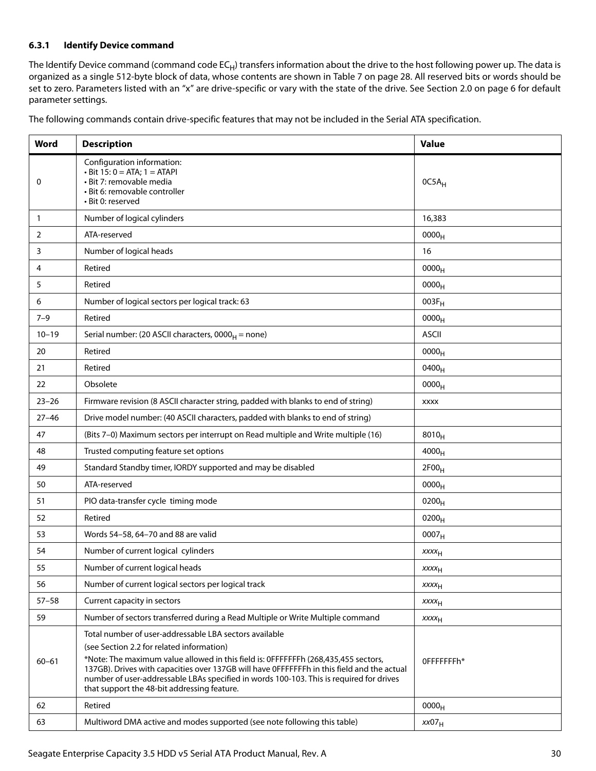#### <span id="page-30-0"></span>**6.3.1 Identify Device command**

The Identify Device command (command code  $EC_H$ ) transfers information about the drive to the host following power up. The data is organized as a single 512-byte block of data, whose contents are shown in [Table 7](#page-28-1) on [page 28.](#page-28-1) All reserved bits or words should be set to zero. Parameters listed with an "x" are drive-specific or vary with the state of the drive. [See Section 2.0 on page 6](#page-6-0) for default parameter settings.

| The following commands contain drive-specific features that may not be included in the Serial ATA specification. |  |  |
|------------------------------------------------------------------------------------------------------------------|--|--|
|                                                                                                                  |  |  |

| Word                                                                           | <b>Description</b>                                                                                                                                                                                                                                                                                                                                                                                                                | <b>Value</b>            |
|--------------------------------------------------------------------------------|-----------------------------------------------------------------------------------------------------------------------------------------------------------------------------------------------------------------------------------------------------------------------------------------------------------------------------------------------------------------------------------------------------------------------------------|-------------------------|
| 0                                                                              | Configuration information:<br>$\cdot$ Bit 15: 0 = ATA; 1 = ATAPI<br>· Bit 7: removable media<br>· Bit 6: removable controller<br>• Bit 0: reserved                                                                                                                                                                                                                                                                                | $OCSA_H$                |
| $\mathbf{1}$                                                                   | Number of logical cylinders                                                                                                                                                                                                                                                                                                                                                                                                       | 16,383                  |
| 2                                                                              | ATA-reserved                                                                                                                                                                                                                                                                                                                                                                                                                      | 0000 <sub>H</sub>       |
| 3                                                                              | Number of logical heads                                                                                                                                                                                                                                                                                                                                                                                                           | 16                      |
| 4                                                                              | Retired                                                                                                                                                                                                                                                                                                                                                                                                                           | 0000 <sub>H</sub>       |
| 5                                                                              | Retired                                                                                                                                                                                                                                                                                                                                                                                                                           | $0000_H$                |
| 6                                                                              | Number of logical sectors per logical track: 63                                                                                                                                                                                                                                                                                                                                                                                   | $003F_H$                |
| $7 - 9$                                                                        | Retired                                                                                                                                                                                                                                                                                                                                                                                                                           | 0000 <sub>H</sub>       |
| $10 - 19$                                                                      | Serial number: (20 ASCII characters, $0000_H =$ none)                                                                                                                                                                                                                                                                                                                                                                             | <b>ASCII</b>            |
| 20                                                                             | Retired                                                                                                                                                                                                                                                                                                                                                                                                                           | 0000 <sub>H</sub>       |
| 21                                                                             | Retired                                                                                                                                                                                                                                                                                                                                                                                                                           | 0400 <sub>H</sub>       |
| 22                                                                             | Obsolete                                                                                                                                                                                                                                                                                                                                                                                                                          | 0000 <sub>H</sub>       |
| $23 - 26$                                                                      | Firmware revision (8 ASCII character string, padded with blanks to end of string)                                                                                                                                                                                                                                                                                                                                                 | <b>XXXX</b>             |
| $27 - 46$                                                                      | Drive model number: (40 ASCII characters, padded with blanks to end of string)                                                                                                                                                                                                                                                                                                                                                    |                         |
| 47                                                                             | (Bits 7-0) Maximum sectors per interrupt on Read multiple and Write multiple (16)                                                                                                                                                                                                                                                                                                                                                 | $8010_H$                |
| 48                                                                             | Trusted computing feature set options                                                                                                                                                                                                                                                                                                                                                                                             | $4000_H$                |
| 49                                                                             | Standard Standby timer, IORDY supported and may be disabled                                                                                                                                                                                                                                                                                                                                                                       | 2F00 <sub>H</sub>       |
| 50                                                                             | ATA-reserved                                                                                                                                                                                                                                                                                                                                                                                                                      | 0000 <sub>H</sub>       |
| 51                                                                             | PIO data-transfer cycle timing mode                                                                                                                                                                                                                                                                                                                                                                                               | $0200_H$                |
| 52                                                                             | Retired                                                                                                                                                                                                                                                                                                                                                                                                                           | $0200_H$                |
| 53                                                                             | Words 54-58, 64-70 and 88 are valid                                                                                                                                                                                                                                                                                                                                                                                               | 0007 <sub>H</sub>       |
| 54                                                                             | Number of current logical cylinders                                                                                                                                                                                                                                                                                                                                                                                               | XXXH                    |
| 55                                                                             | Number of current logical heads                                                                                                                                                                                                                                                                                                                                                                                                   | $xxxx_H$                |
| 56                                                                             | Number of current logical sectors per logical track                                                                                                                                                                                                                                                                                                                                                                               | <b>XXXX<sub>H</sub></b> |
| $57 - 58$                                                                      | Current capacity in sectors                                                                                                                                                                                                                                                                                                                                                                                                       | <b>XXXX<sub>H</sub></b> |
| 59                                                                             | Number of sectors transferred during a Read Multiple or Write Multiple command                                                                                                                                                                                                                                                                                                                                                    | <b>XXXX<sub>H</sub></b> |
| $60 - 61$                                                                      | Total number of user-addressable LBA sectors available<br>(see Section 2.2 for related information)<br>*Note: The maximum value allowed in this field is: 0FFFFFFFh (268,435,455 sectors,<br>137GB). Drives with capacities over 137GB will have OFFFFFFFh in this field and the actual<br>number of user-addressable LBAs specified in words 100-103. This is required for drives<br>that support the 48-bit addressing feature. | OFFFFFFFh*              |
| 62                                                                             | Retired                                                                                                                                                                                                                                                                                                                                                                                                                           | 0000 <sub>H</sub>       |
| Multiword DMA active and modes supported (see note following this table)<br>63 |                                                                                                                                                                                                                                                                                                                                                                                                                                   | xx07 <sub>H</sub>       |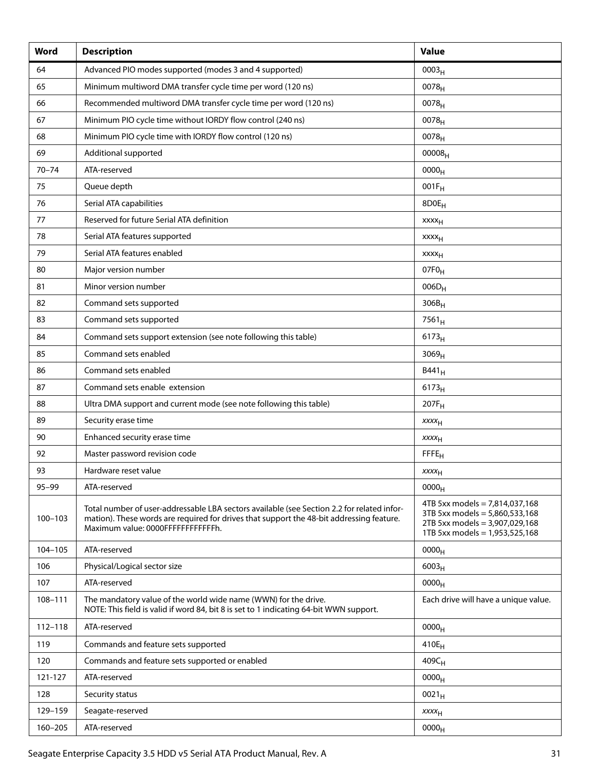| Word        | <b>Description</b>                                                                                                                                                                                                           | <b>Value</b>                                                                                                                           |
|-------------|------------------------------------------------------------------------------------------------------------------------------------------------------------------------------------------------------------------------------|----------------------------------------------------------------------------------------------------------------------------------------|
| 64          | Advanced PIO modes supported (modes 3 and 4 supported)                                                                                                                                                                       | 0003 <sub>H</sub>                                                                                                                      |
| 65          | Minimum multiword DMA transfer cycle time per word (120 ns)                                                                                                                                                                  | 0078 <sub>H</sub>                                                                                                                      |
| 66          | Recommended multiword DMA transfer cycle time per word (120 ns)                                                                                                                                                              | $0078_{H}$                                                                                                                             |
| 67          | Minimum PIO cycle time without IORDY flow control (240 ns)                                                                                                                                                                   | 0078 <sub>H</sub>                                                                                                                      |
| 68          | Minimum PIO cycle time with IORDY flow control (120 ns)                                                                                                                                                                      | $0078_{H}$                                                                                                                             |
| 69          | Additional supported                                                                                                                                                                                                         | 00008 <sub>H</sub>                                                                                                                     |
| $70 - 74$   | ATA-reserved                                                                                                                                                                                                                 | 0000 <sub>H</sub>                                                                                                                      |
| 75          | Queue depth                                                                                                                                                                                                                  | $001F_H$                                                                                                                               |
| 76          | Serial ATA capabilities                                                                                                                                                                                                      | 8D0E <sub>H</sub>                                                                                                                      |
| 77          | Reserved for future Serial ATA definition                                                                                                                                                                                    | xxxx <sub>H</sub>                                                                                                                      |
| 78          | Serial ATA features supported                                                                                                                                                                                                | xxxx <sub>H</sub>                                                                                                                      |
| 79          | Serial ATA features enabled                                                                                                                                                                                                  | <b>xxxx</b> <sub>H</sub>                                                                                                               |
| 80          | Major version number                                                                                                                                                                                                         | 07F <sub>0H</sub>                                                                                                                      |
| 81          | Minor version number                                                                                                                                                                                                         | $006D_H$                                                                                                                               |
| 82          | Command sets supported                                                                                                                                                                                                       | $306B_H$                                                                                                                               |
| 83          | Command sets supported                                                                                                                                                                                                       | $7561_H$                                                                                                                               |
| 84          | Command sets support extension (see note following this table)                                                                                                                                                               | $6173_H$                                                                                                                               |
| 85          | Command sets enabled                                                                                                                                                                                                         | 3069 <sub>H</sub>                                                                                                                      |
| 86          | Command sets enabled                                                                                                                                                                                                         | B441 <sub>H</sub>                                                                                                                      |
| 87          | Command sets enable extension                                                                                                                                                                                                | $6173_H$                                                                                                                               |
| 88          | Ultra DMA support and current mode (see note following this table)                                                                                                                                                           | $207F_H$                                                                                                                               |
| 89          | Security erase time                                                                                                                                                                                                          | $xxxx_{H}$                                                                                                                             |
| 90          | Enhanced security erase time                                                                                                                                                                                                 | $xxxx_{H}$                                                                                                                             |
| 92          | Master password revision code                                                                                                                                                                                                | <b>FFFE<sub>H</sub></b>                                                                                                                |
| 93          | Hardware reset value                                                                                                                                                                                                         | XXXH                                                                                                                                   |
| $95 - 99$   | ATA-reserved                                                                                                                                                                                                                 | 0000 <sub>H</sub>                                                                                                                      |
| $100 - 103$ | Total number of user-addressable LBA sectors available (see Section 2.2 for related infor-<br>mation). These words are required for drives that support the 48-bit addressing feature.<br>Maximum value: 0000FFFFFFFFFFFFFh. | 4TB 5xx models = $7,814,037,168$<br>3TB 5xx models = 5,860,533,168<br>2TB 5xx models = 3,907,029,168<br>1TB 5xx models = 1,953,525,168 |
| 104-105     | ATA-reserved                                                                                                                                                                                                                 | 0000 <sub>H</sub>                                                                                                                      |
| 106         | Physical/Logical sector size                                                                                                                                                                                                 | $6003_H$                                                                                                                               |
| 107         | ATA-reserved                                                                                                                                                                                                                 | 0000 <sub>H</sub>                                                                                                                      |
| 108-111     | The mandatory value of the world wide name (WWN) for the drive.<br>NOTE: This field is valid if word 84, bit 8 is set to 1 indicating 64-bit WWN support.                                                                    | Each drive will have a unique value.                                                                                                   |
| $112 - 118$ | ATA-reserved                                                                                                                                                                                                                 | 0000 <sub>H</sub>                                                                                                                      |
| 119         | Commands and feature sets supported                                                                                                                                                                                          | $410E_H$                                                                                                                               |
| 120         | Commands and feature sets supported or enabled                                                                                                                                                                               | $409C_H$                                                                                                                               |
| 121-127     | ATA-reserved                                                                                                                                                                                                                 | 0000 <sub>H</sub>                                                                                                                      |
| 128         | Security status                                                                                                                                                                                                              | $0021_H$                                                                                                                               |
| 129-159     | Seagate-reserved                                                                                                                                                                                                             | $xxxx_{H}$                                                                                                                             |
| 160-205     | ATA-reserved                                                                                                                                                                                                                 | 0000 <sub>H</sub>                                                                                                                      |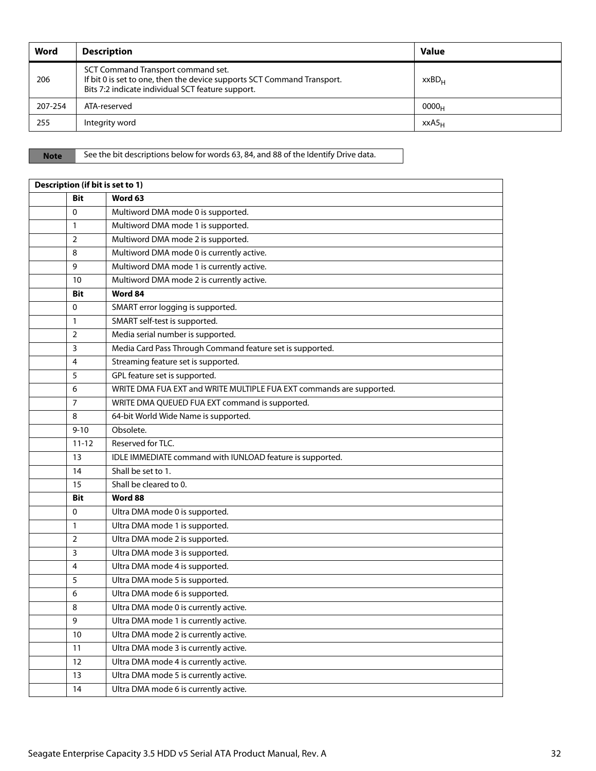| Word    | <b>Description</b>                                                                                                                                                 | <b>Value</b>      |
|---------|--------------------------------------------------------------------------------------------------------------------------------------------------------------------|-------------------|
| 206     | SCT Command Transport command set.<br>If bit 0 is set to one, then the device supports SCT Command Transport.<br>Bits 7:2 indicate individual SCT feature support. | xxBD <sub>H</sub> |
| 207-254 | ATA-reserved                                                                                                                                                       | 0000 <sub>H</sub> |
| 255     | Integrity word                                                                                                                                                     | XXAS <sub>H</sub> |

Note See the bit descriptions below for words 63, 84, and 88 of the Identify Drive data.

| Description (if bit is set to 1) |                                                                      |  |  |  |
|----------------------------------|----------------------------------------------------------------------|--|--|--|
| <b>Bit</b>                       | Word 63                                                              |  |  |  |
| $\mathbf 0$                      | Multiword DMA mode 0 is supported.                                   |  |  |  |
| 1                                | Multiword DMA mode 1 is supported.                                   |  |  |  |
| $\overline{2}$                   | Multiword DMA mode 2 is supported.                                   |  |  |  |
| 8                                | Multiword DMA mode 0 is currently active.                            |  |  |  |
| 9                                | Multiword DMA mode 1 is currently active.                            |  |  |  |
| 10                               | Multiword DMA mode 2 is currently active.                            |  |  |  |
| <b>Bit</b>                       | Word 84                                                              |  |  |  |
| $\mathbf 0$                      | SMART error logging is supported.                                    |  |  |  |
| 1                                | SMART self-test is supported.                                        |  |  |  |
| $\overline{2}$                   | Media serial number is supported.                                    |  |  |  |
| 3                                | Media Card Pass Through Command feature set is supported.            |  |  |  |
| 4                                | Streaming feature set is supported.                                  |  |  |  |
| 5                                | GPL feature set is supported.                                        |  |  |  |
| 6                                | WRITE DMA FUA EXT and WRITE MULTIPLE FUA EXT commands are supported. |  |  |  |
| 7                                | WRITE DMA QUEUED FUA EXT command is supported.                       |  |  |  |
| 8                                | 64-bit World Wide Name is supported.                                 |  |  |  |
| $9 - 10$                         | Obsolete.                                                            |  |  |  |
| $11 - 12$                        | Reserved for TLC.                                                    |  |  |  |
| 13                               | IDLE IMMEDIATE command with IUNLOAD feature is supported.            |  |  |  |
| 14                               | Shall be set to 1.                                                   |  |  |  |
| 15                               | Shall be cleared to 0.                                               |  |  |  |
| <b>Bit</b>                       | Word 88                                                              |  |  |  |
| 0                                | Ultra DMA mode 0 is supported.                                       |  |  |  |
| 1                                | Ultra DMA mode 1 is supported.                                       |  |  |  |
| $\overline{2}$                   | Ultra DMA mode 2 is supported.                                       |  |  |  |
| 3                                | Ultra DMA mode 3 is supported.                                       |  |  |  |
| 4                                | Ultra DMA mode 4 is supported.                                       |  |  |  |
| 5                                | Ultra DMA mode 5 is supported.                                       |  |  |  |
| 6                                | Ultra DMA mode 6 is supported.                                       |  |  |  |
| 8                                | Ultra DMA mode 0 is currently active.                                |  |  |  |
| 9                                | Ultra DMA mode 1 is currently active.                                |  |  |  |
| 10                               | Ultra DMA mode 2 is currently active.                                |  |  |  |
| 11                               | Ultra DMA mode 3 is currently active.                                |  |  |  |
| 12                               | Ultra DMA mode 4 is currently active.                                |  |  |  |
| 13                               | Ultra DMA mode 5 is currently active.                                |  |  |  |
| 14                               | Ultra DMA mode 6 is currently active.                                |  |  |  |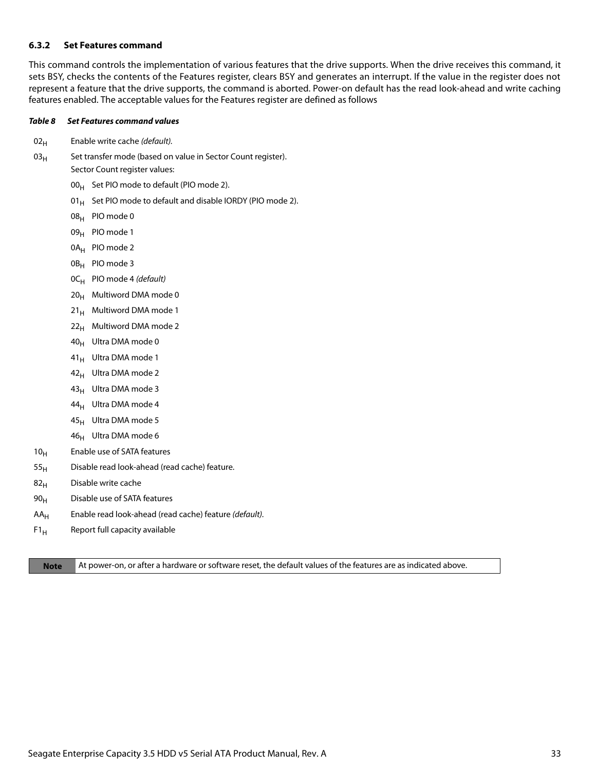#### <span id="page-33-0"></span>**6.3.2 Set Features command**

This command controls the implementation of various features that the drive supports. When the drive receives this command, it sets BSY, checks the contents of the Features register, clears BSY and generates an interrupt. If the value in the register does not represent a feature that the drive supports, the command is aborted. Power-on default has the read look-ahead and write caching features enabled. The acceptable values for the Features register are defined as follows

#### *Table 8 Set Features command values*

- $02_H$  Enable write cache (default).
- $03_H$  Set transfer mode (based on value in Sector Count register). Sector Count register values:
	- $00_H$  Set PIO mode to default (PIO mode 2).
	- 01 $_{\rm H}$  Set PIO mode to default and disable IORDY (PIO mode 2).
	- 08H PIO mode 0
	- 09<sub>H</sub> PIO mode 1
	- 0A<sub>H</sub> PIO mode 2
	- 0B<sub>H</sub> PIO mode 3
	- $OC_H$  PIO mode 4 (default)
	- $20_H$  Multiword DMA mode 0
	- $21_H$  Multiword DMA mode 1
	- $22<sub>H</sub>$  Multiword DMA mode 2
	- 40H Ultra DMA mode 0
	- 41<sub>H</sub> Ultra DMA mode 1
	- $42_H$  Ultra DMA mode 2
	- 43<sub>H</sub> Ultra DMA mode 3
	- $44_H$  Ultra DMA mode 4
	- $45_H$  Ultra DMA mode 5
	- $46_H$  Ultra DMA mode 6
- 10<sub>H</sub> Enable use of SATA features
- $55<sub>H</sub>$  Disable read look-ahead (read cache) feature.
- $82<sub>H</sub>$  Disable write cache
- $90<sub>H</sub>$  Disable use of SATA features
- $AA_H$  Enable read look-ahead (read cache) feature (default).
- $F1_H$  Report full capacity available

**Note** At power-on, or after a hardware or software reset, the default values of the features are as indicated above.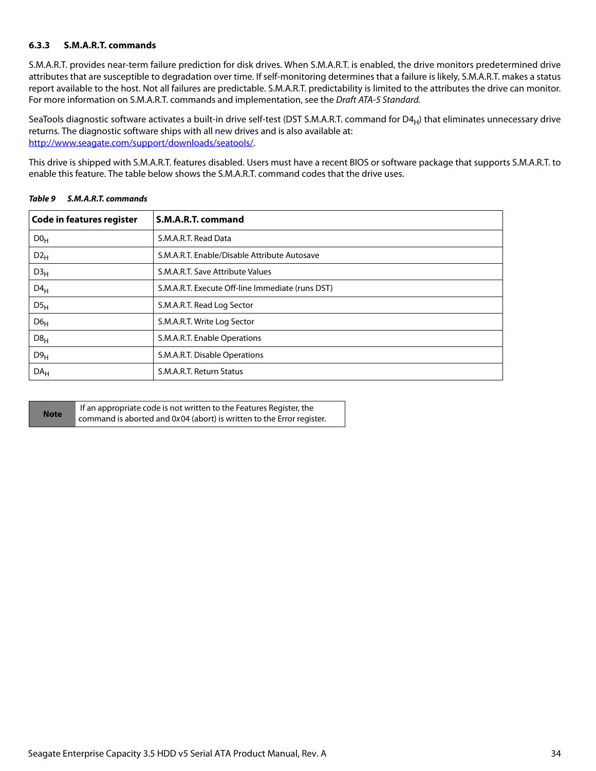#### <span id="page-34-0"></span>**6.3.3 S.M.A.R.T. commands**

S.M.A.R.T. provides near-term failure prediction for disk drives. When S.M.A.R.T. is enabled, the drive monitors predetermined drive attributes that are susceptible to degradation over time. If self-monitoring determines that a failure is likely, S.M.A.R.T. makes a status report available to the host. Not all failures are predictable. S.M.A.R.T. predictability is limited to the attributes the drive can monitor. For more information on S.M.A.R.T. commands and implementation, see the Draft ATA-5 Standard.

SeaTools diagnostic software activates a built-in drive self-test (DST S.M.A.R.T. command for  $D4_H$ ) that eliminates unnecessary drive returns. The diagnostic software ships with all new drives and is also available at: [http://www.seagate.com/support/downloads/seatools/](http://www.seagate.com/support/downloads/seatools/ ).

This drive is shipped with S.M.A.R.T. features disabled. Users must have a recent BIOS or software package that supports S.M.A.R.T. to enable this feature. The table below shows the S.M.A.R.T. command codes that the drive uses.

| Code in features register | S.M.A.R.T. command                               |
|---------------------------|--------------------------------------------------|
| D0 <sub>H</sub>           | S.M.A.R.T. Read Data                             |
| $D2_{H}$                  | S.M.A.R.T. Enable/Disable Attribute Autosave     |
| D3 <sub>H</sub>           | S.M.A.R.T. Save Attribute Values                 |
| $D4_H$                    | S.M.A.R.T. Execute Off-line Immediate (runs DST) |
| $DS_{H}$                  | S.M.A.R.T. Read Log Sector                       |
| D6 <sub>H</sub>           | S.M.A.R.T. Write Log Sector                      |
| D8 <sub>H</sub>           | S.M.A.R.T. Enable Operations                     |
| D9 <sub>H</sub>           | S.M.A.R.T. Disable Operations                    |
| DA <sub>H</sub>           | S.M.A.R.T. Return Status                         |

#### *Table 9 S.M.A.R.T. commands*

|             | If an appropriate code is not written to the Features Register, the   |
|-------------|-----------------------------------------------------------------------|
| <b>Note</b> | command is aborted and 0x04 (abort) is written to the Error register. |